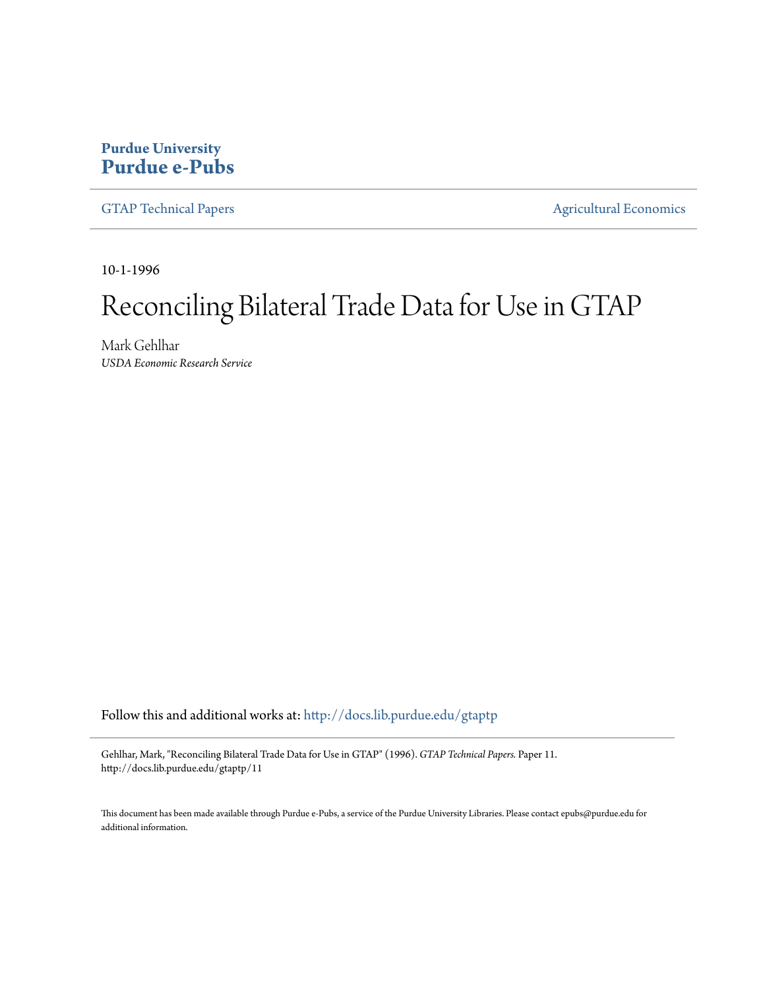## **Purdue University [Purdue e-Pubs](http://docs.lib.purdue.edu?utm_source=docs.lib.purdue.edu%2Fgtaptp%2F11&utm_medium=PDF&utm_campaign=PDFCoverPages)**

[GTAP Technical Papers](http://docs.lib.purdue.edu/gtaptp?utm_source=docs.lib.purdue.edu%2Fgtaptp%2F11&utm_medium=PDF&utm_campaign=PDFCoverPages) **[Agricultural Economics](http://docs.lib.purdue.edu/agecon?utm_source=docs.lib.purdue.edu%2Fgtaptp%2F11&utm_medium=PDF&utm_campaign=PDFCoverPages)** Agricultural Economics

10-1-1996

# Reconciling Bilateral Trade Data for Use in GTAP

Mark Gehlhar *USDA Economic Research Service*

Follow this and additional works at: [http://docs.lib.purdue.edu/gtaptp](http://docs.lib.purdue.edu/gtaptp?utm_source=docs.lib.purdue.edu%2Fgtaptp%2F11&utm_medium=PDF&utm_campaign=PDFCoverPages)

Gehlhar, Mark, "Reconciling Bilateral Trade Data for Use in GTAP" (1996). *GTAP Technical Papers.* Paper 11. http://docs.lib.purdue.edu/gtaptp/11

This document has been made available through Purdue e-Pubs, a service of the Purdue University Libraries. Please contact epubs@purdue.edu for additional information.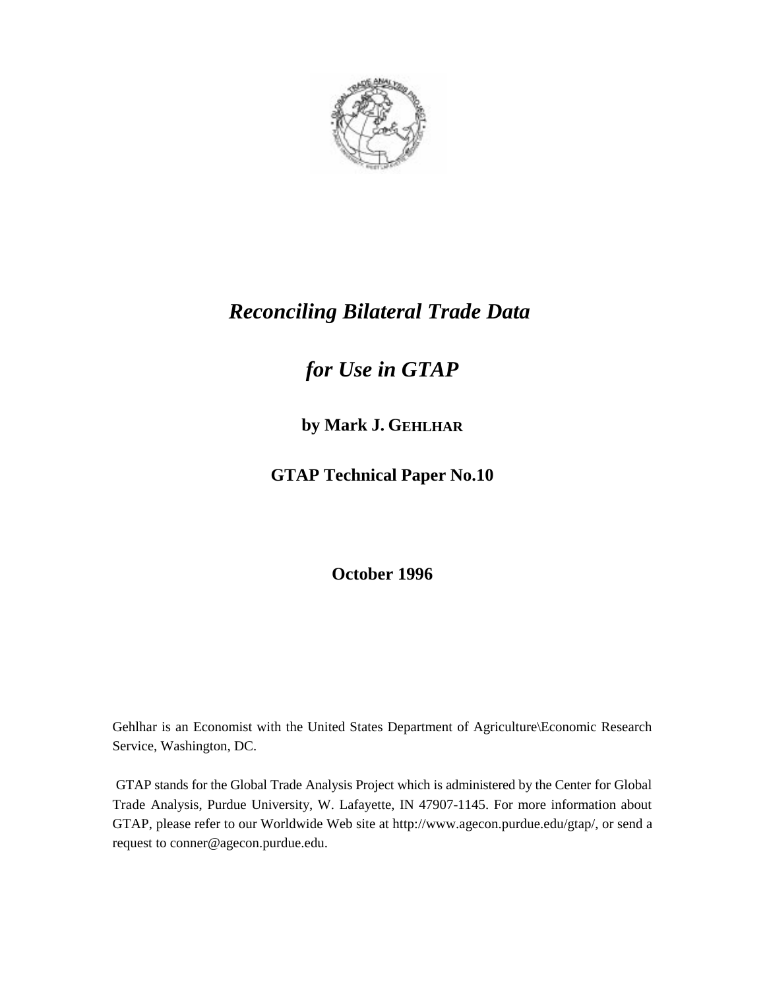

## *Reconciling Bilateral Trade Data*

# *for Use in GTAP*

## **by Mark J. GEHLHAR**

**GTAP Technical Paper No.10**

**October 1996**

Gehlhar is an Economist with the United States Department of Agriculture\Economic Research Service, Washington, DC.

 GTAP stands for the Global Trade Analysis Project which is administered by the Center for Global Trade Analysis, Purdue University, W. Lafayette, IN 47907-1145. For more information about GTAP, please refer to our Worldwide Web site at http://www.agecon.purdue.edu/gtap/, or send a request to conner@agecon.purdue.edu.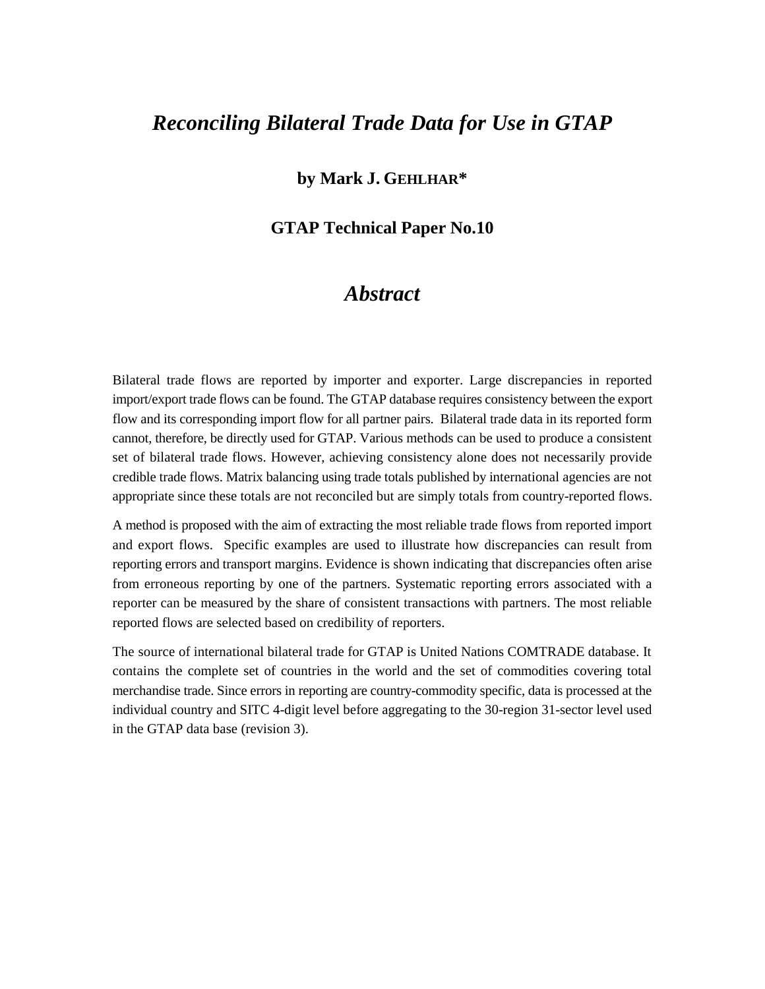## *Reconciling Bilateral Trade Data for Use in GTAP*

### **by Mark J. GEHLHAR\***

### **GTAP Technical Paper No.10**

### *Abstract*

Bilateral trade flows are reported by importer and exporter. Large discrepancies in reported import/export trade flows can be found. The GTAP database requires consistency between the export flow and its corresponding import flow for all partner pairs. Bilateral trade data in its reported form cannot, therefore, be directly used for GTAP. Various methods can be used to produce a consistent set of bilateral trade flows. However, achieving consistency alone does not necessarily provide credible trade flows. Matrix balancing using trade totals published by international agencies are not appropriate since these totals are not reconciled but are simply totals from country-reported flows.

A method is proposed with the aim of extracting the most reliable trade flows from reported import and export flows. Specific examples are used to illustrate how discrepancies can result from reporting errors and transport margins. Evidence is shown indicating that discrepancies often arise from erroneous reporting by one of the partners. Systematic reporting errors associated with a reporter can be measured by the share of consistent transactions with partners. The most reliable reported flows are selected based on credibility of reporters.

The source of international bilateral trade for GTAP is United Nations COMTRADE database. It contains the complete set of countries in the world and the set of commodities covering total merchandise trade. Since errors in reporting are country-commodity specific, data is processed at the individual country and SITC 4-digit level before aggregating to the 30-region 31-sector level used in the GTAP data base (revision 3).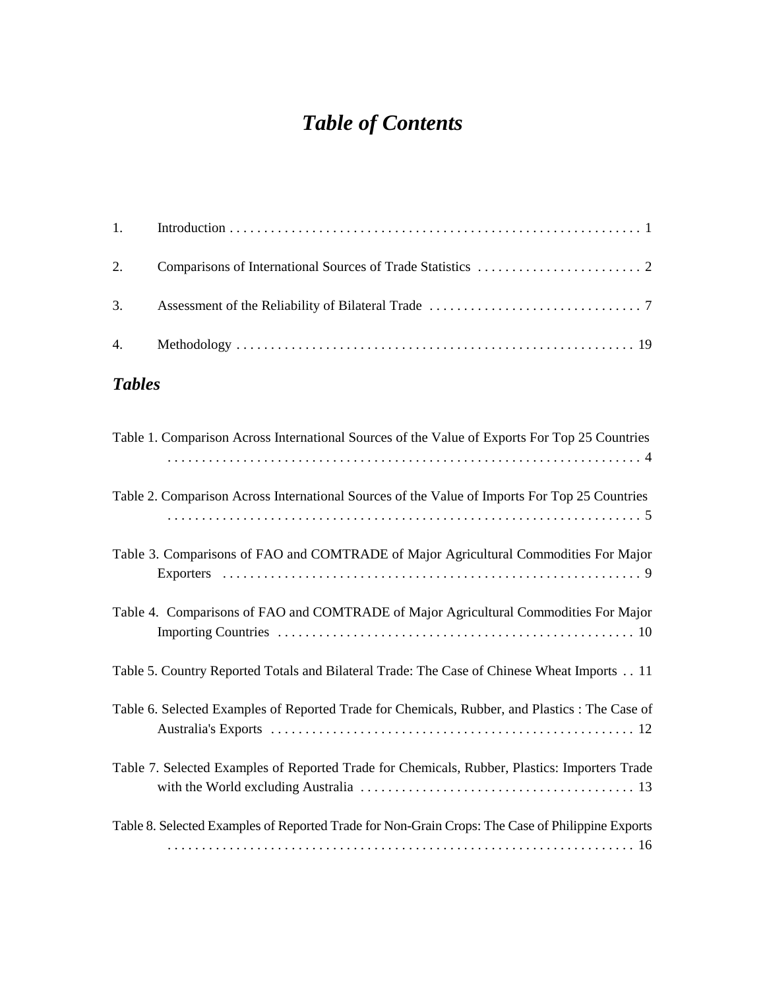# *Table of Contents*

## *Tables*

| Table 1. Comparison Across International Sources of the Value of Exports For Top 25 Countries    |
|--------------------------------------------------------------------------------------------------|
| Table 2. Comparison Across International Sources of the Value of Imports For Top 25 Countries    |
| Table 3. Comparisons of FAO and COMTRADE of Major Agricultural Commodities For Major             |
| Table 4. Comparisons of FAO and COMTRADE of Major Agricultural Commodities For Major             |
| Table 5. Country Reported Totals and Bilateral Trade: The Case of Chinese Wheat Imports 11       |
| Table 6. Selected Examples of Reported Trade for Chemicals, Rubber, and Plastics : The Case of   |
| Table 7. Selected Examples of Reported Trade for Chemicals, Rubber, Plastics: Importers Trade    |
| Table 8. Selected Examples of Reported Trade for Non-Grain Crops: The Case of Philippine Exports |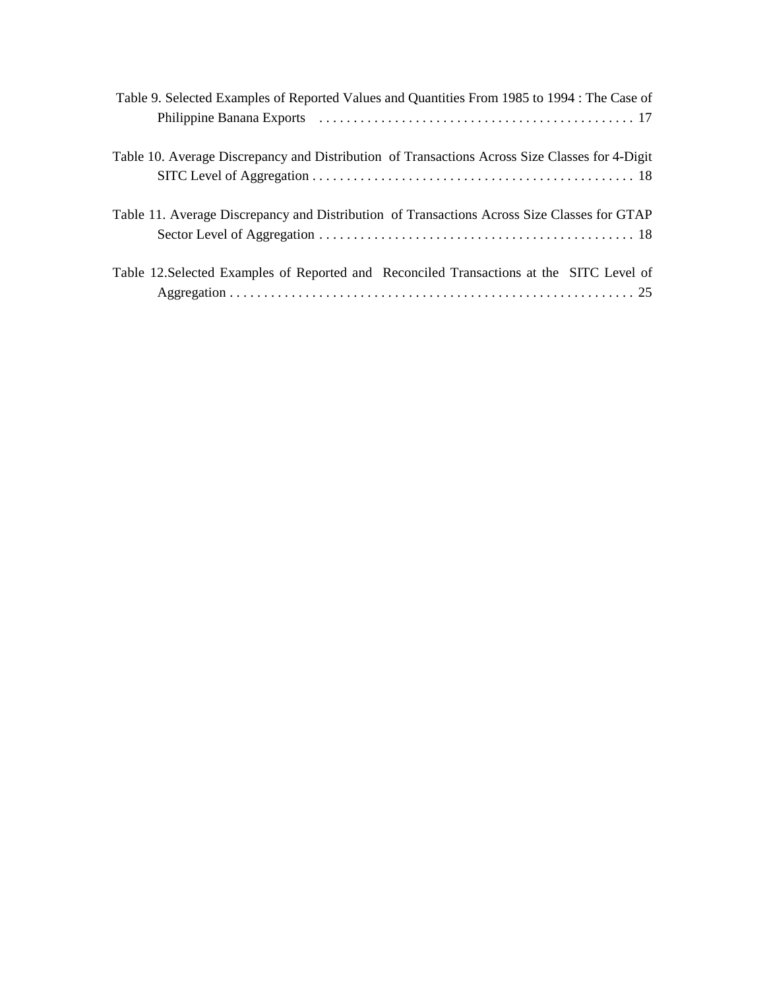| Table 9. Selected Examples of Reported Values and Quantities From 1985 to 1994 : The Case of   |
|------------------------------------------------------------------------------------------------|
| Table 10. Average Discrepancy and Distribution of Transactions Across Size Classes for 4-Digit |
| Table 11. Average Discrepancy and Distribution of Transactions Across Size Classes for GTAP    |
| Table 12. Selected Examples of Reported and Reconciled Transactions at the SITC Level of       |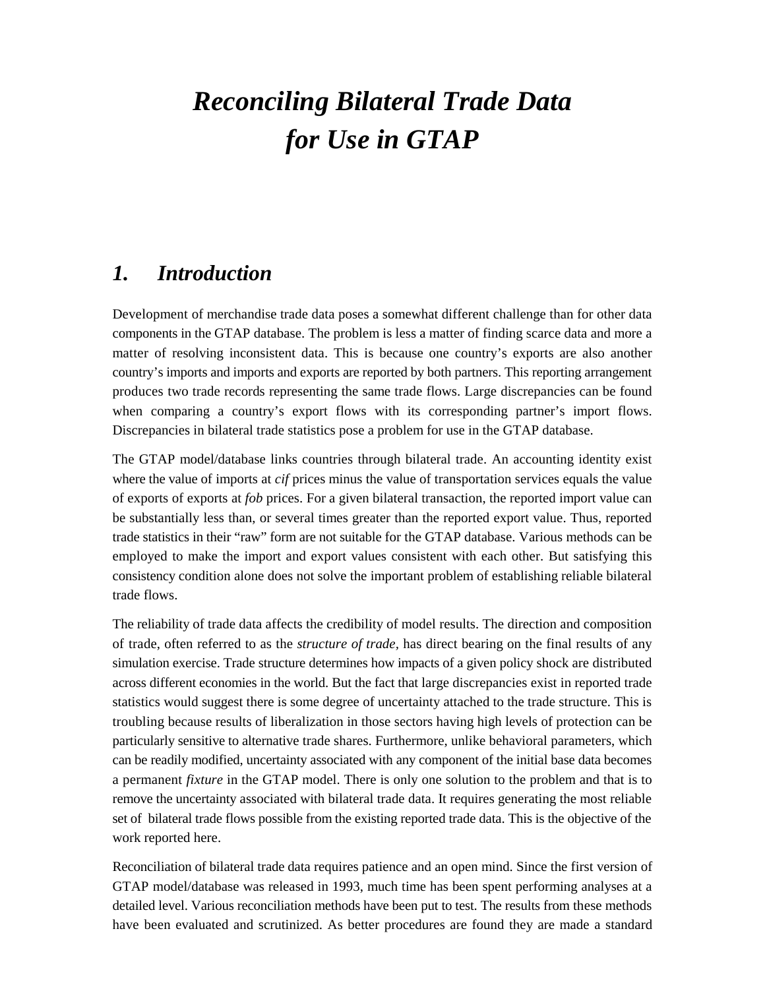# *Reconciling Bilateral Trade Data for Use in GTAP*

## *1. Introduction*

Development of merchandise trade data poses a somewhat different challenge than for other data components in the GTAP database. The problem is less a matter of finding scarce data and more a matter of resolving inconsistent data. This is because one country's exports are also another country's imports and imports and exports are reported by both partners. This reporting arrangement produces two trade records representing the same trade flows. Large discrepancies can be found when comparing a country's export flows with its corresponding partner's import flows. Discrepancies in bilateral trade statistics pose a problem for use in the GTAP database.

The GTAP model/database links countries through bilateral trade. An accounting identity exist where the value of imports at *cif* prices minus the value of transportation services equals the value of exports of exports at *fob* prices. For a given bilateral transaction, the reported import value can be substantially less than, or several times greater than the reported export value. Thus, reported trade statistics in their "raw" form are not suitable for the GTAP database. Various methods can be employed to make the import and export values consistent with each other. But satisfying this consistency condition alone does not solve the important problem of establishing reliable bilateral trade flows.

The reliability of trade data affects the credibility of model results. The direction and composition of trade, often referred to as the *structure of trade,* has direct bearing on the final results of any simulation exercise. Trade structure determines how impacts of a given policy shock are distributed across different economies in the world. But the fact that large discrepancies exist in reported trade statistics would suggest there is some degree of uncertainty attached to the trade structure. This is troubling because results of liberalization in those sectors having high levels of protection can be particularly sensitive to alternative trade shares. Furthermore, unlike behavioral parameters, which can be readily modified, uncertainty associated with any component of the initial base data becomes a permanent *fixture* in the GTAP model. There is only one solution to the problem and that is to remove the uncertainty associated with bilateral trade data. It requires generating the most reliable set of bilateral trade flows possible from the existing reported trade data. This is the objective of the work reported here.

Reconciliation of bilateral trade data requires patience and an open mind. Since the first version of GTAP model/database was released in 1993, much time has been spent performing analyses at a detailed level. Various reconciliation methods have been put to test. The results from these methods have been evaluated and scrutinized. As better procedures are found they are made a standard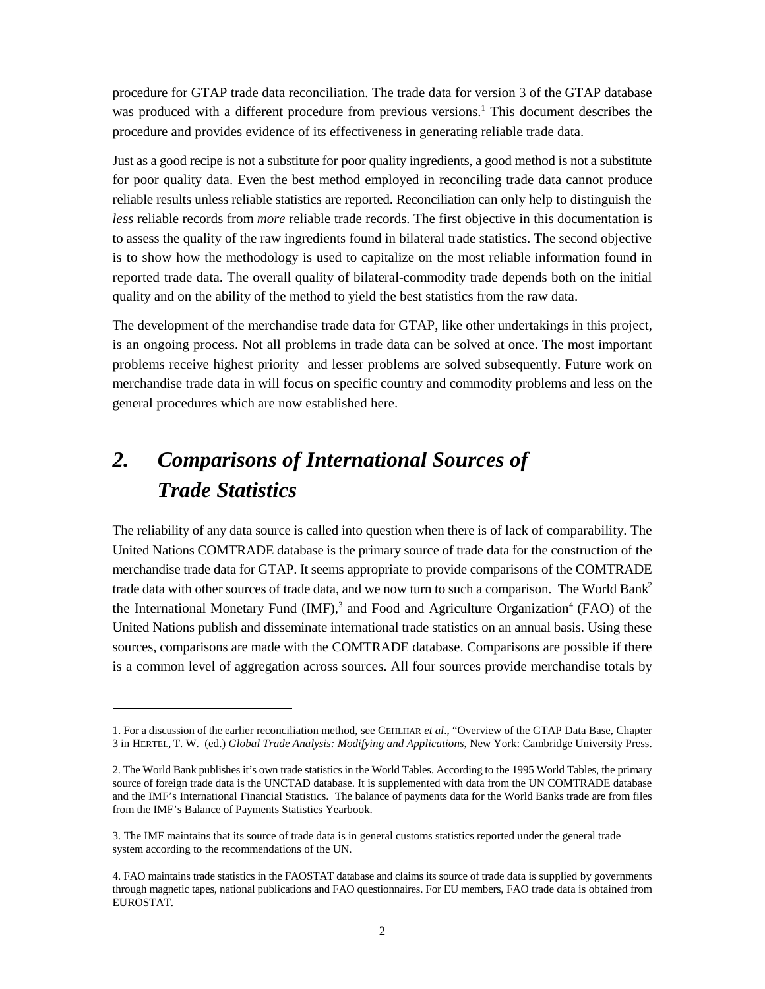procedure for GTAP trade data reconciliation. The trade data for version 3 of the GTAP database was produced with a different procedure from previous versions.<sup>1</sup> This document describes the procedure and provides evidence of its effectiveness in generating reliable trade data.

Just as a good recipe is not a substitute for poor quality ingredients, a good method is not a substitute for poor quality data. Even the best method employed in reconciling trade data cannot produce reliable results unless reliable statistics are reported. Reconciliation can only help to distinguish the *less* reliable records from *more* reliable trade records. The first objective in this documentation is to assess the quality of the raw ingredients found in bilateral trade statistics. The second objective is to show how the methodology is used to capitalize on the most reliable information found in reported trade data. The overall quality of bilateral-commodity trade depends both on the initial quality and on the ability of the method to yield the best statistics from the raw data.

The development of the merchandise trade data for GTAP, like other undertakings in this project, is an ongoing process. Not all problems in trade data can be solved at once. The most important problems receive highest priority and lesser problems are solved subsequently. Future work on merchandise trade data in will focus on specific country and commodity problems and less on the general procedures which are now established here.

# *2. Comparisons of International Sources of Trade Statistics*

The reliability of any data source is called into question when there is of lack of comparability. The United Nations COMTRADE database is the primary source of trade data for the construction of the merchandise trade data for GTAP. It seems appropriate to provide comparisons of the COMTRADE trade data with other sources of trade data, and we now turn to such a comparison. The World Bank<sup>2</sup> the International Monetary Fund  $(MF)$ ,<sup>3</sup> and Food and Agriculture Organization<sup>4</sup> (FAO) of the United Nations publish and disseminate international trade statistics on an annual basis. Using these sources, comparisons are made with the COMTRADE database. Comparisons are possible if there is a common level of aggregation across sources. All four sources provide merchandise totals by

<sup>1.</sup> For a discussion of the earlier reconciliation method, see GEHLHAR *et al*., "Overview of the GTAP Data Base, Chapter 3 in HERTEL, T. W. (ed.) *Global Trade Analysis: Modifying and Applications*, New York: Cambridge University Press.

<sup>2.</sup> The World Bank publishes it's own trade statistics in the World Tables. According to the 1995 World Tables, the primary source of foreign trade data is the UNCTAD database. It is supplemented with data from the UN COMTRADE database and the IMF's International Financial Statistics. The balance of payments data for the World Banks trade are from files from the IMF's Balance of Payments Statistics Yearbook.

<sup>3.</sup> The IMF maintains that its source of trade data is in general customs statistics reported under the general trade system according to the recommendations of the UN.

<sup>4.</sup> FAO maintains trade statistics in the FAOSTAT database and claims its source of trade data is supplied by governments through magnetic tapes, national publications and FAO questionnaires. For EU members, FAO trade data is obtained from EUROSTAT.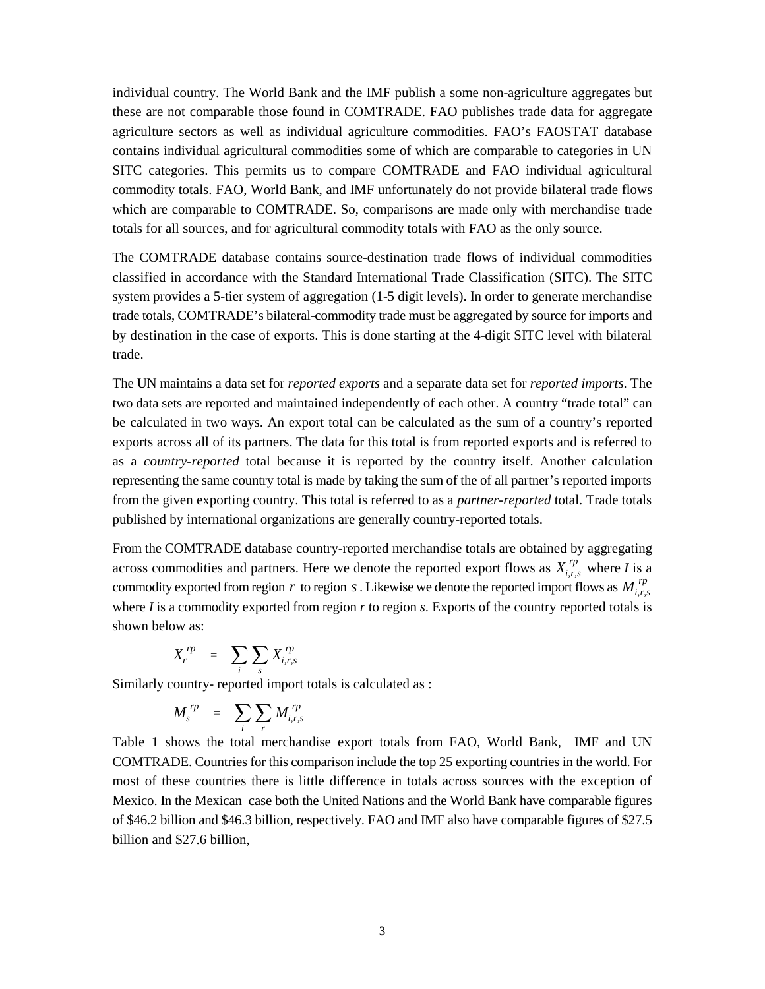individual country. The World Bank and the IMF publish a some non-agriculture aggregates but these are not comparable those found in COMTRADE. FAO publishes trade data for aggregate agriculture sectors as well as individual agriculture commodities. FAO's FAOSTAT database contains individual agricultural commodities some of which are comparable to categories in UN SITC categories. This permits us to compare COMTRADE and FAO individual agricultural commodity totals. FAO, World Bank, and IMF unfortunately do not provide bilateral trade flows which are comparable to COMTRADE. So, comparisons are made only with merchandise trade totals for all sources, and for agricultural commodity totals with FAO as the only source.

The COMTRADE database contains source-destination trade flows of individual commodities classified in accordance with the Standard International Trade Classification (SITC). The SITC system provides a 5-tier system of aggregation (1-5 digit levels). In order to generate merchandise trade totals, COMTRADE's bilateral-commodity trade must be aggregated by source for imports and by destination in the case of exports. This is done starting at the 4-digit SITC level with bilateral trade.

The UN maintains a data set for *reported exports* and a separate data set for *reported imports*. The two data sets are reported and maintained independently of each other. A country "trade total" can be calculated in two ways. An export total can be calculated as the sum of a country's reported exports across all of its partners. The data for this total is from reported exports and is referred to as a *country-reported* total because it is reported by the country itself. Another calculation representing the same country total is made by taking the sum of the of all partner's reported imports from the given exporting country. This total is referred to as a *partner-reported* total. Trade totals published by international organizations are generally country-reported totals.

across commodities and partners. Here we denote the reported export flows as  $X_{i,r,s}^{rp}$  where *I* is a commodity exported from region r to region s. Likewise we denote the reported import flows as  $M_{i,r,s}^{rp}$ From the COMTRADE database country-reported merchandise totals are obtained by aggregating where *I* is a commodity exported from region *r* to region *s*. Exports of the country reported totals is shown below as:

$$
X_r^{rp} = \sum_i \sum_s X_{i,r,s}^{rp}
$$

Similarly country- reported import totals is calculated as :

$$
M_s^{rp} = \sum_i \sum_r M_{i,r,s}^{rp}
$$

Table 1 shows the total merchandise export totals from FAO, World Bank, IMF and UN COMTRADE. Countries for this comparison include the top 25 exporting countries in the world. For most of these countries there is little difference in totals across sources with the exception of Mexico. In the Mexican case both the United Nations and the World Bank have comparable figures of \$46.2 billion and \$46.3 billion, respectively. FAO and IMF also have comparable figures of \$27.5 billion and \$27.6 billion,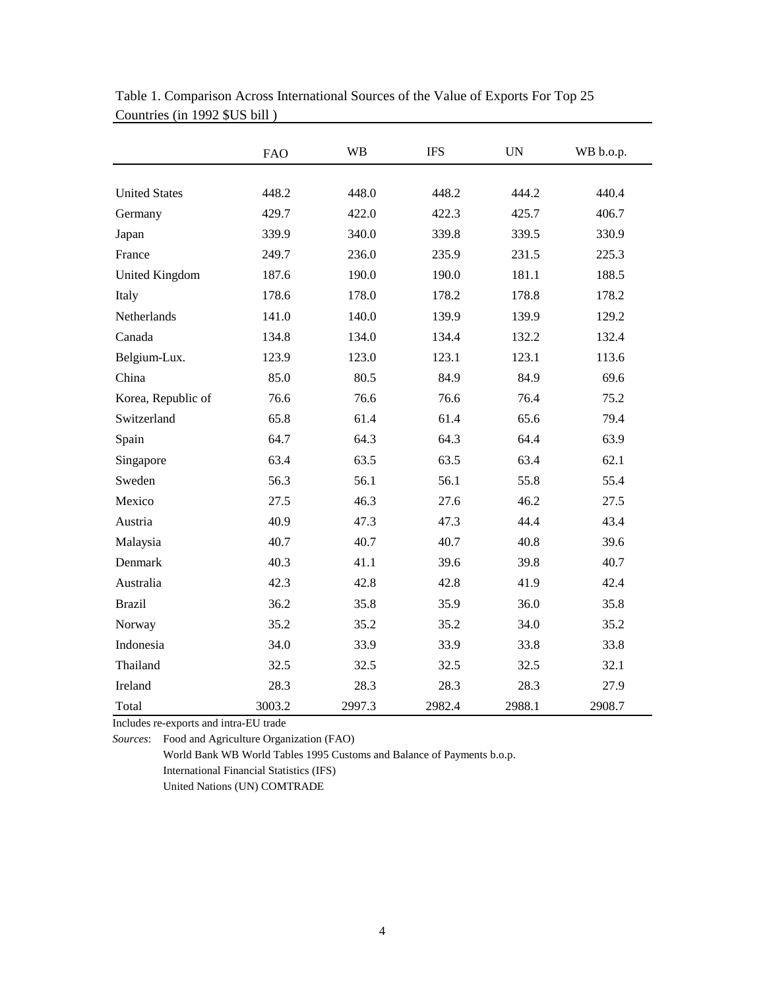|                       | <b>FAO</b> | <b>WB</b> | <b>IFS</b> | <b>UN</b> | WB b.o.p. |
|-----------------------|------------|-----------|------------|-----------|-----------|
|                       |            |           |            |           |           |
| <b>United States</b>  | 448.2      | 448.0     | 448.2      | 444.2     | 440.4     |
| Germany               | 429.7      | 422.0     | 422.3      | 425.7     | 406.7     |
| Japan                 | 339.9      | 340.0     | 339.8      | 339.5     | 330.9     |
| France                | 249.7      | 236.0     | 235.9      | 231.5     | 225.3     |
| <b>United Kingdom</b> | 187.6      | 190.0     | 190.0      | 181.1     | 188.5     |
| Italy                 | 178.6      | 178.0     | 178.2      | 178.8     | 178.2     |
| Netherlands           | 141.0      | 140.0     | 139.9      | 139.9     | 129.2     |
| Canada                | 134.8      | 134.0     | 134.4      | 132.2     | 132.4     |
| Belgium-Lux.          | 123.9      | 123.0     | 123.1      | 123.1     | 113.6     |
| China                 | 85.0       | 80.5      | 84.9       | 84.9      | 69.6      |
| Korea, Republic of    | 76.6       | 76.6      | 76.6       | 76.4      | 75.2      |
| Switzerland           | 65.8       | 61.4      | 61.4       | 65.6      | 79.4      |
| Spain                 | 64.7       | 64.3      | 64.3       | 64.4      | 63.9      |
| Singapore             | 63.4       | 63.5      | 63.5       | 63.4      | 62.1      |
| Sweden                | 56.3       | 56.1      | 56.1       | 55.8      | 55.4      |
| Mexico                | 27.5       | 46.3      | 27.6       | 46.2      | 27.5      |
| Austria               | 40.9       | 47.3      | 47.3       | 44.4      | 43.4      |
| Malaysia              | 40.7       | 40.7      | 40.7       | 40.8      | 39.6      |
| Denmark               | 40.3       | 41.1      | 39.6       | 39.8      | 40.7      |
| Australia             | 42.3       | 42.8      | 42.8       | 41.9      | 42.4      |
| <b>Brazil</b>         | 36.2       | 35.8      | 35.9       | 36.0      | 35.8      |
| Norway                | 35.2       | 35.2      | 35.2       | 34.0      | 35.2      |
| Indonesia             | 34.0       | 33.9      | 33.9       | 33.8      | 33.8      |
| Thailand              | 32.5       | 32.5      | 32.5       | 32.5      | 32.1      |
| Ireland               | 28.3       | 28.3      | 28.3       | 28.3      | 27.9      |
| Total                 | 3003.2     | 2997.3    | 2982.4     | 2988.1    | 2908.7    |

Table 1. Comparison Across International Sources of the Value of Exports For Top 25 Countries (in 1992 \$US bill )

Includes re-exports and intra-EU trade

*Sources*: Food and Agriculture Organization (FAO)

World Bank WB World Tables 1995 Customs and Balance of Payments b.o.p.

International Financial Statistics (IFS)

United Nations (UN) COMTRADE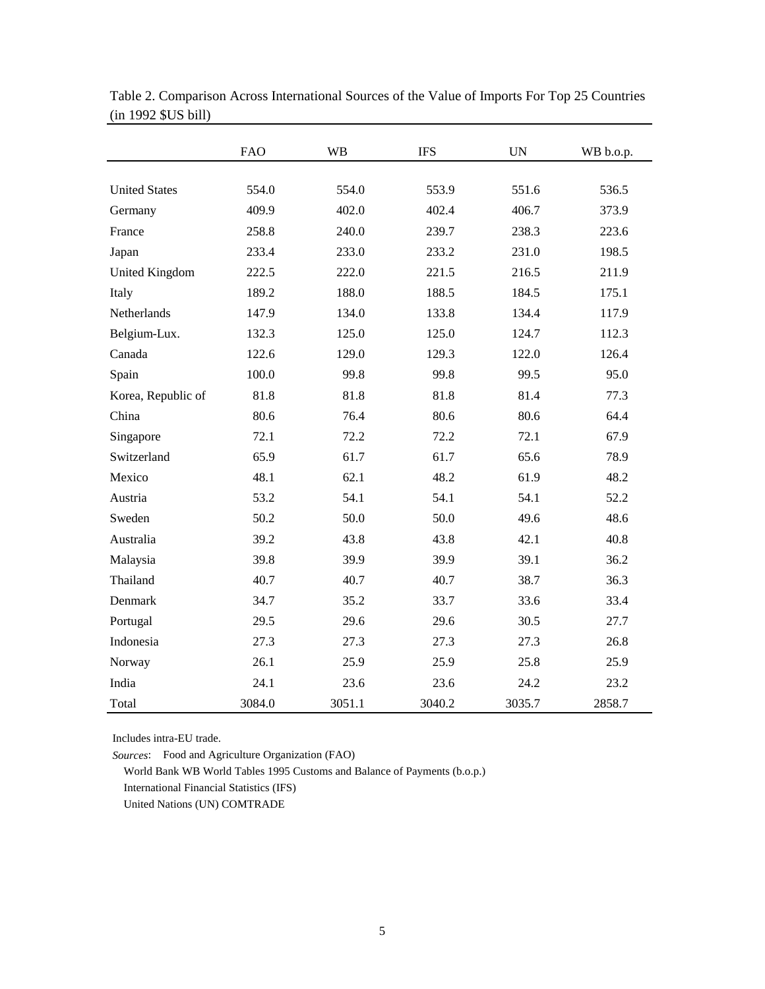|                       | <b>FAO</b> | <b>WB</b> | <b>IFS</b> | <b>UN</b> | WB b.o.p. |
|-----------------------|------------|-----------|------------|-----------|-----------|
|                       |            |           |            |           |           |
| <b>United States</b>  | 554.0      | 554.0     | 553.9      | 551.6     | 536.5     |
| Germany               | 409.9      | 402.0     | 402.4      | 406.7     | 373.9     |
| France                | 258.8      | 240.0     | 239.7      | 238.3     | 223.6     |
| Japan                 | 233.4      | 233.0     | 233.2      | 231.0     | 198.5     |
| <b>United Kingdom</b> | 222.5      | 222.0     | 221.5      | 216.5     | 211.9     |
| Italy                 | 189.2      | 188.0     | 188.5      | 184.5     | 175.1     |
| Netherlands           | 147.9      | 134.0     | 133.8      | 134.4     | 117.9     |
| Belgium-Lux.          | 132.3      | 125.0     | 125.0      | 124.7     | 112.3     |
| Canada                | 122.6      | 129.0     | 129.3      | 122.0     | 126.4     |
| Spain                 | 100.0      | 99.8      | 99.8       | 99.5      | 95.0      |
| Korea, Republic of    | 81.8       | 81.8      | 81.8       | 81.4      | 77.3      |
| China                 | 80.6       | 76.4      | 80.6       | 80.6      | 64.4      |
| Singapore             | 72.1       | 72.2      | 72.2       | 72.1      | 67.9      |
| Switzerland           | 65.9       | 61.7      | 61.7       | 65.6      | 78.9      |
| Mexico                | 48.1       | 62.1      | 48.2       | 61.9      | 48.2      |
| Austria               | 53.2       | 54.1      | 54.1       | 54.1      | 52.2      |
| Sweden                | 50.2       | 50.0      | 50.0       | 49.6      | 48.6      |
| Australia             | 39.2       | 43.8      | 43.8       | 42.1      | 40.8      |
| Malaysia              | 39.8       | 39.9      | 39.9       | 39.1      | 36.2      |
| Thailand              | 40.7       | 40.7      | 40.7       | 38.7      | 36.3      |
| Denmark               | 34.7       | 35.2      | 33.7       | 33.6      | 33.4      |
| Portugal              | 29.5       | 29.6      | 29.6       | 30.5      | 27.7      |
| Indonesia             | 27.3       | 27.3      | 27.3       | 27.3      | 26.8      |
| Norway                | 26.1       | 25.9      | 25.9       | 25.8      | 25.9      |
| India                 | 24.1       | 23.6      | 23.6       | 24.2      | 23.2      |
| Total                 | 3084.0     | 3051.1    | 3040.2     | 3035.7    | 2858.7    |

Table 2. Comparison Across International Sources of the Value of Imports For Top 25 Countries (in 1992 \$US bill)

Includes intra-EU trade.

*Sources*: Food and Agriculture Organization (FAO)

World Bank WB World Tables 1995 Customs and Balance of Payments (b.o.p.)

International Financial Statistics (IFS)

United Nations (UN) COMTRADE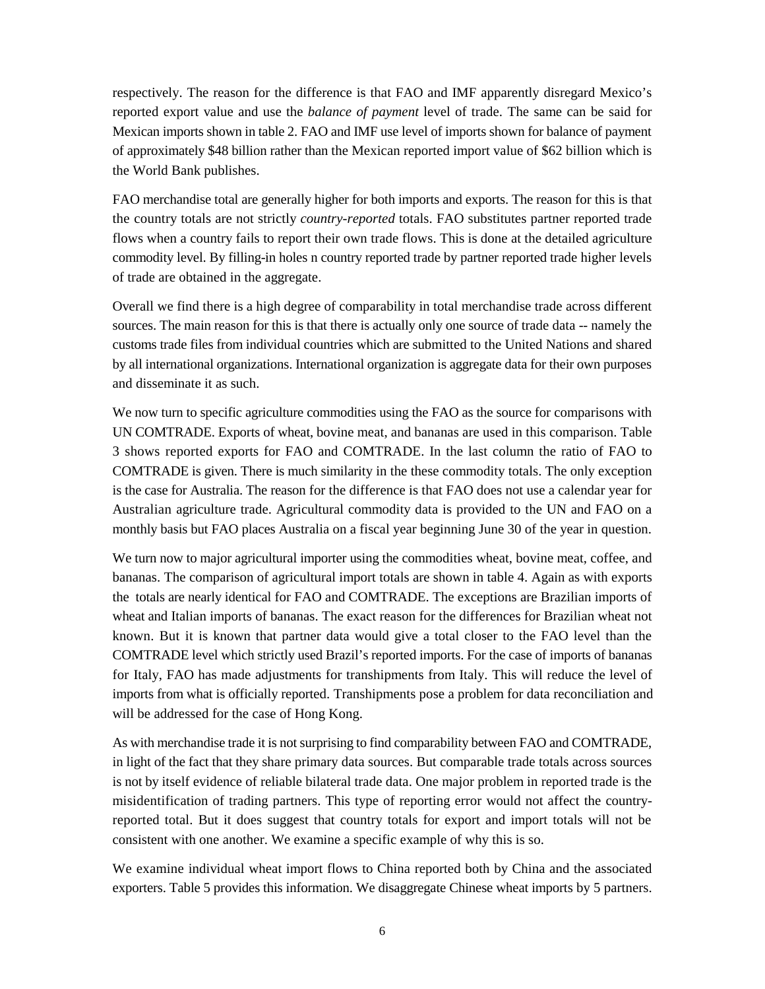respectively. The reason for the difference is that FAO and IMF apparently disregard Mexico's reported export value and use the *balance of payment* level of trade. The same can be said for Mexican imports shown in table 2. FAO and IMF use level of imports shown for balance of payment of approximately \$48 billion rather than the Mexican reported import value of \$62 billion which is the World Bank publishes.

FAO merchandise total are generally higher for both imports and exports. The reason for this is that the country totals are not strictly *country-reported* totals. FAO substitutes partner reported trade flows when a country fails to report their own trade flows. This is done at the detailed agriculture commodity level. By filling-in holes n country reported trade by partner reported trade higher levels of trade are obtained in the aggregate.

Overall we find there is a high degree of comparability in total merchandise trade across different sources. The main reason for this is that there is actually only one source of trade data -- namely the customs trade files from individual countries which are submitted to the United Nations and shared by all international organizations. International organization is aggregate data for their own purposes and disseminate it as such.

We now turn to specific agriculture commodities using the FAO as the source for comparisons with UN COMTRADE. Exports of wheat, bovine meat, and bananas are used in this comparison. Table 3 shows reported exports for FAO and COMTRADE. In the last column the ratio of FAO to COMTRADE is given. There is much similarity in the these commodity totals. The only exception is the case for Australia. The reason for the difference is that FAO does not use a calendar year for Australian agriculture trade. Agricultural commodity data is provided to the UN and FAO on a monthly basis but FAO places Australia on a fiscal year beginning June 30 of the year in question.

We turn now to major agricultural importer using the commodities wheat, bovine meat, coffee, and bananas. The comparison of agricultural import totals are shown in table 4. Again as with exports the totals are nearly identical for FAO and COMTRADE. The exceptions are Brazilian imports of wheat and Italian imports of bananas. The exact reason for the differences for Brazilian wheat not known. But it is known that partner data would give a total closer to the FAO level than the COMTRADE level which strictly used Brazil's reported imports. For the case of imports of bananas for Italy, FAO has made adjustments for transhipments from Italy. This will reduce the level of imports from what is officially reported. Transhipments pose a problem for data reconciliation and will be addressed for the case of Hong Kong.

As with merchandise trade it is not surprising to find comparability between FAO and COMTRADE, in light of the fact that they share primary data sources. But comparable trade totals across sources is not by itself evidence of reliable bilateral trade data. One major problem in reported trade is the misidentification of trading partners. This type of reporting error would not affect the countryreported total. But it does suggest that country totals for export and import totals will not be consistent with one another. We examine a specific example of why this is so.

We examine individual wheat import flows to China reported both by China and the associated exporters. Table 5 provides this information. We disaggregate Chinese wheat imports by 5 partners.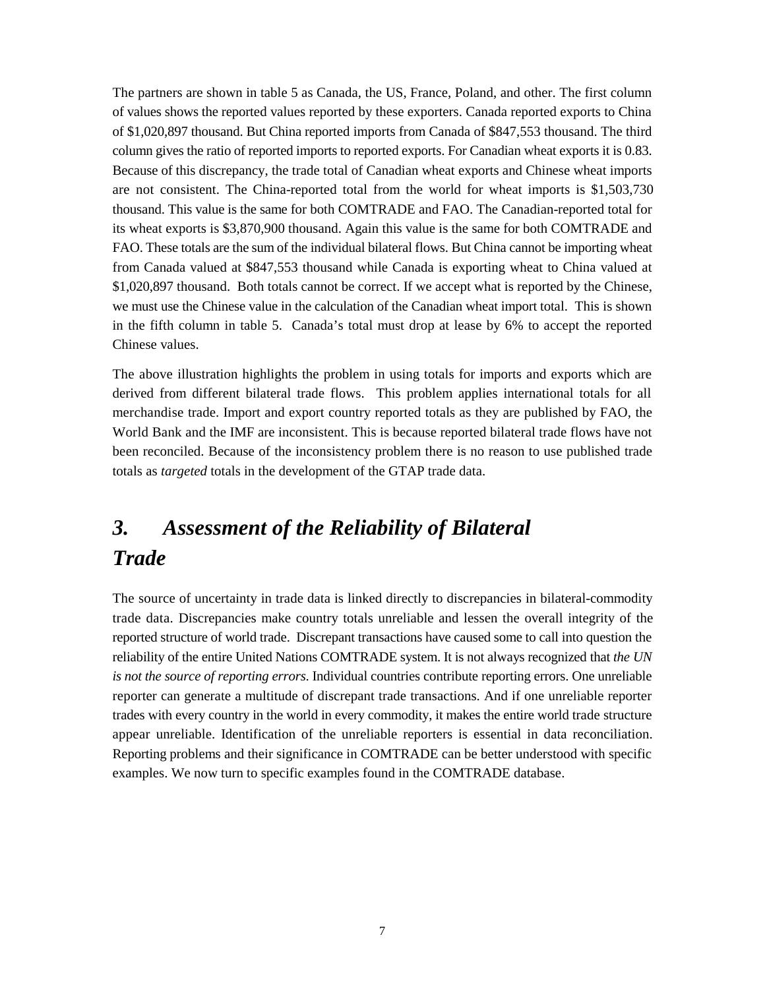The partners are shown in table 5 as Canada, the US, France, Poland, and other. The first column of values shows the reported values reported by these exporters. Canada reported exports to China of \$1,020,897 thousand. But China reported imports from Canada of \$847,553 thousand. The third column gives the ratio of reported imports to reported exports. For Canadian wheat exports it is 0.83. Because of this discrepancy, the trade total of Canadian wheat exports and Chinese wheat imports are not consistent. The China-reported total from the world for wheat imports is \$1,503,730 thousand. This value is the same for both COMTRADE and FAO. The Canadian-reported total for its wheat exports is \$3,870,900 thousand. Again this value is the same for both COMTRADE and FAO. These totals are the sum of the individual bilateral flows. But China cannot be importing wheat from Canada valued at \$847,553 thousand while Canada is exporting wheat to China valued at \$1,020,897 thousand. Both totals cannot be correct. If we accept what is reported by the Chinese, we must use the Chinese value in the calculation of the Canadian wheat import total. This is shown in the fifth column in table 5. Canada's total must drop at lease by 6% to accept the reported Chinese values.

The above illustration highlights the problem in using totals for imports and exports which are derived from different bilateral trade flows. This problem applies international totals for all merchandise trade. Import and export country reported totals as they are published by FAO, the World Bank and the IMF are inconsistent. This is because reported bilateral trade flows have not been reconciled. Because of the inconsistency problem there is no reason to use published trade totals as *targeted* totals in the development of the GTAP trade data.

# *3. Assessment of the Reliability of Bilateral Trade*

The source of uncertainty in trade data is linked directly to discrepancies in bilateral-commodity trade data. Discrepancies make country totals unreliable and lessen the overall integrity of the reported structure of world trade. Discrepant transactions have caused some to call into question the reliability of the entire United Nations COMTRADE system. It is not always recognized that *the UN is not the source of reporting errors*. Individual countries contribute reporting errors. One unreliable reporter can generate a multitude of discrepant trade transactions. And if one unreliable reporter trades with every country in the world in every commodity, it makes the entire world trade structure appear unreliable. Identification of the unreliable reporters is essential in data reconciliation. Reporting problems and their significance in COMTRADE can be better understood with specific examples. We now turn to specific examples found in the COMTRADE database.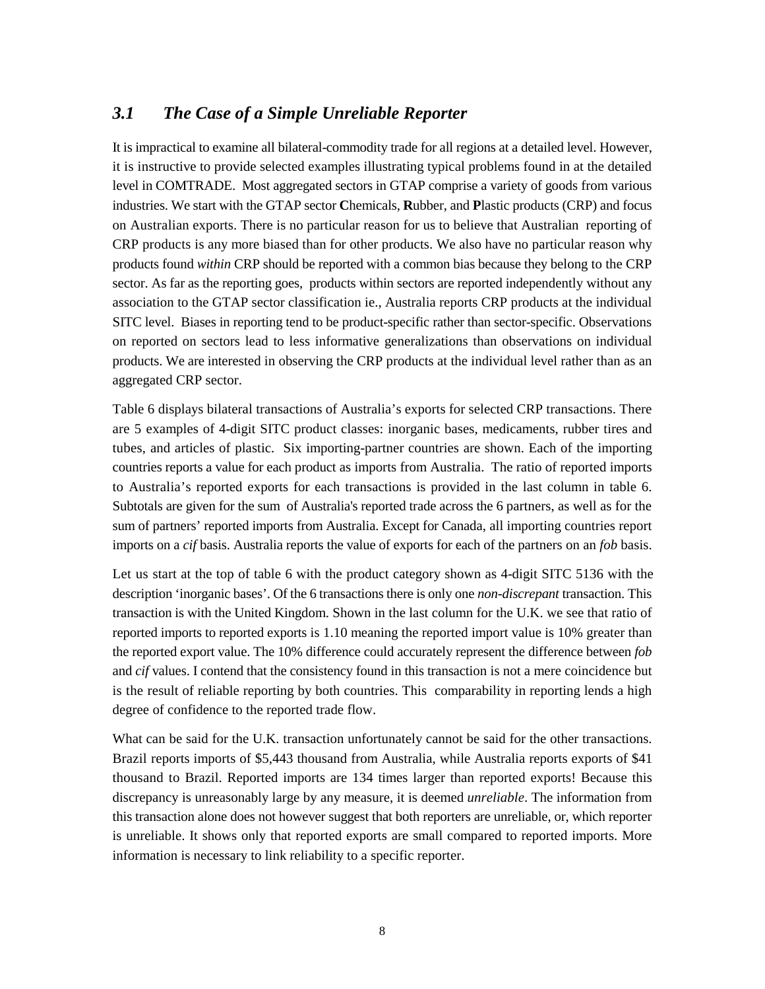### *3.1 The Case of a Simple Unreliable Reporter*

It is impractical to examine all bilateral-commodity trade for all regions at a detailed level. However, it is instructive to provide selected examples illustrating typical problems found in at the detailed level in COMTRADE. Most aggregated sectors in GTAP comprise a variety of goods from various industries. We start with the GTAP sector **C**hemicals, **R**ubber, and **P**lastic products (CRP) and focus on Australian exports. There is no particular reason for us to believe that Australian reporting of CRP products is any more biased than for other products. We also have no particular reason why products found *within* CRP should be reported with a common bias because they belong to the CRP sector. As far as the reporting goes, products within sectors are reported independently without any association to the GTAP sector classification ie., Australia reports CRP products at the individual SITC level. Biases in reporting tend to be product-specific rather than sector-specific. Observations on reported on sectors lead to less informative generalizations than observations on individual products. We are interested in observing the CRP products at the individual level rather than as an aggregated CRP sector.

Table 6 displays bilateral transactions of Australia's exports for selected CRP transactions. There are 5 examples of 4-digit SITC product classes: inorganic bases, medicaments, rubber tires and tubes, and articles of plastic. Six importing-partner countries are shown. Each of the importing countries reports a value for each product as imports from Australia. The ratio of reported imports to Australia's reported exports for each transactions is provided in the last column in table 6. Subtotals are given for the sum of Australia's reported trade across the 6 partners, as well as for the sum of partners' reported imports from Australia. Except for Canada, all importing countries report imports on a *cif* basis. Australia reports the value of exports for each of the partners on an *fob* basis.

Let us start at the top of table 6 with the product category shown as 4-digit SITC 5136 with the description 'inorganic bases'. Of the 6 transactions there is only one *non-discrepant* transaction. This transaction is with the United Kingdom. Shown in the last column for the U.K. we see that ratio of reported imports to reported exports is 1.10 meaning the reported import value is 10% greater than the reported export value. The 10% difference could accurately represent the difference between *fob* and *cif* values. I contend that the consistency found in this transaction is not a mere coincidence but is the result of reliable reporting by both countries. This comparability in reporting lends a high degree of confidence to the reported trade flow.

What can be said for the U.K. transaction unfortunately cannot be said for the other transactions. Brazil reports imports of \$5,443 thousand from Australia, while Australia reports exports of \$41 thousand to Brazil. Reported imports are 134 times larger than reported exports! Because this discrepancy is unreasonably large by any measure, it is deemed *unreliable*. The information from this transaction alone does not however suggest that both reporters are unreliable, or, which reporter is unreliable. It shows only that reported exports are small compared to reported imports. More information is necessary to link reliability to a specific reporter.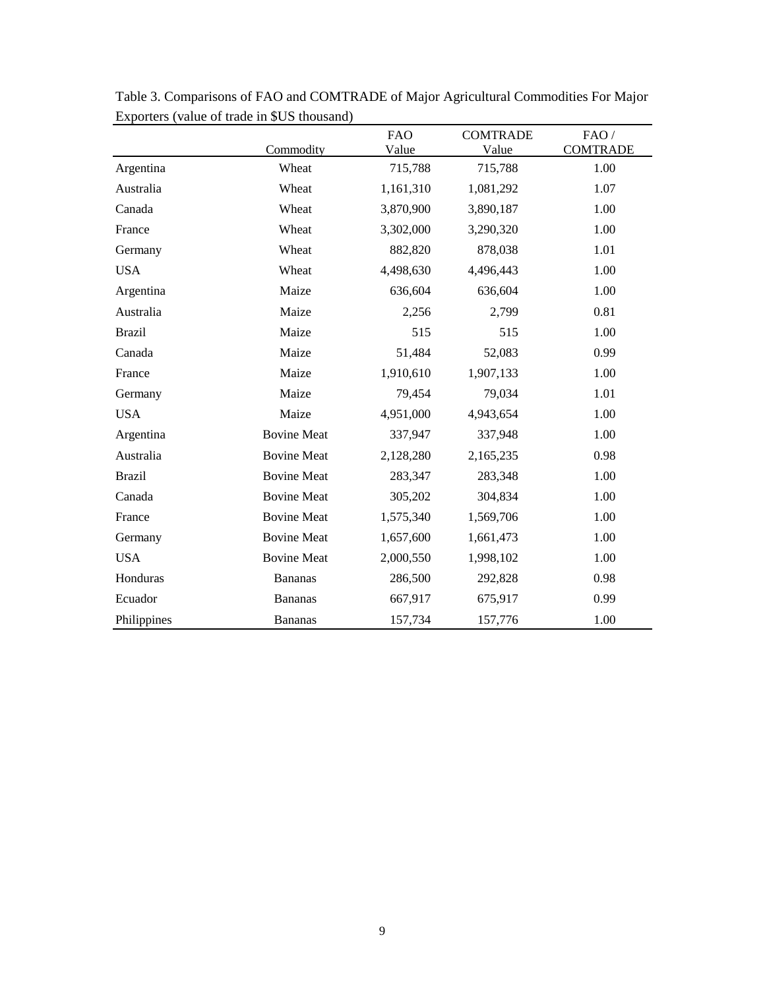|               |                    | <b>FAO</b> | <b>COMTRADE</b> | FAO/            |
|---------------|--------------------|------------|-----------------|-----------------|
|               | Commodity          | Value      | Value           | <b>COMTRADE</b> |
| Argentina     | Wheat              | 715,788    | 715,788         | 1.00            |
| Australia     | Wheat              | 1,161,310  | 1,081,292       | 1.07            |
| Canada        | Wheat              | 3,870,900  | 3,890,187       | 1.00            |
| France        | Wheat              | 3,302,000  | 3,290,320       | 1.00            |
| Germany       | Wheat              | 882,820    | 878,038         | 1.01            |
| <b>USA</b>    | Wheat              | 4,498,630  | 4,496,443       | 1.00            |
| Argentina     | Maize              | 636,604    | 636,604         | 1.00            |
| Australia     | Maize              | 2,256      | 2,799           | 0.81            |
| <b>Brazil</b> | Maize              | 515        | 515             | 1.00            |
| Canada        | Maize              | 51,484     | 52,083          | 0.99            |
| France        | Maize              | 1,910,610  | 1,907,133       | 1.00            |
| Germany       | Maize              | 79,454     | 79,034          | 1.01            |
| <b>USA</b>    | Maize              | 4,951,000  | 4,943,654       | 1.00            |
| Argentina     | <b>Bovine Meat</b> | 337,947    | 337,948         | 1.00            |
| Australia     | <b>Bovine Meat</b> | 2,128,280  | 2,165,235       | 0.98            |
| <b>Brazil</b> | <b>Bovine Meat</b> | 283,347    | 283,348         | 1.00            |
| Canada        | <b>Bovine Meat</b> | 305,202    | 304,834         | 1.00            |
| France        | <b>Bovine Meat</b> | 1,575,340  | 1,569,706       | 1.00            |
| Germany       | <b>Bovine Meat</b> | 1,657,600  | 1,661,473       | 1.00            |
| <b>USA</b>    | <b>Bovine Meat</b> | 2,000,550  | 1,998,102       | 1.00            |
| Honduras      | <b>Bananas</b>     | 286,500    | 292,828         | 0.98            |
| Ecuador       | <b>Bananas</b>     | 667,917    | 675,917         | 0.99            |
| Philippines   | <b>Bananas</b>     | 157,734    | 157,776         | 1.00            |

Table 3. Comparisons of FAO and COMTRADE of Major Agricultural Commodities For Major Exporters (value of trade in \$US thousand)  $\overline{\phantom{0}}$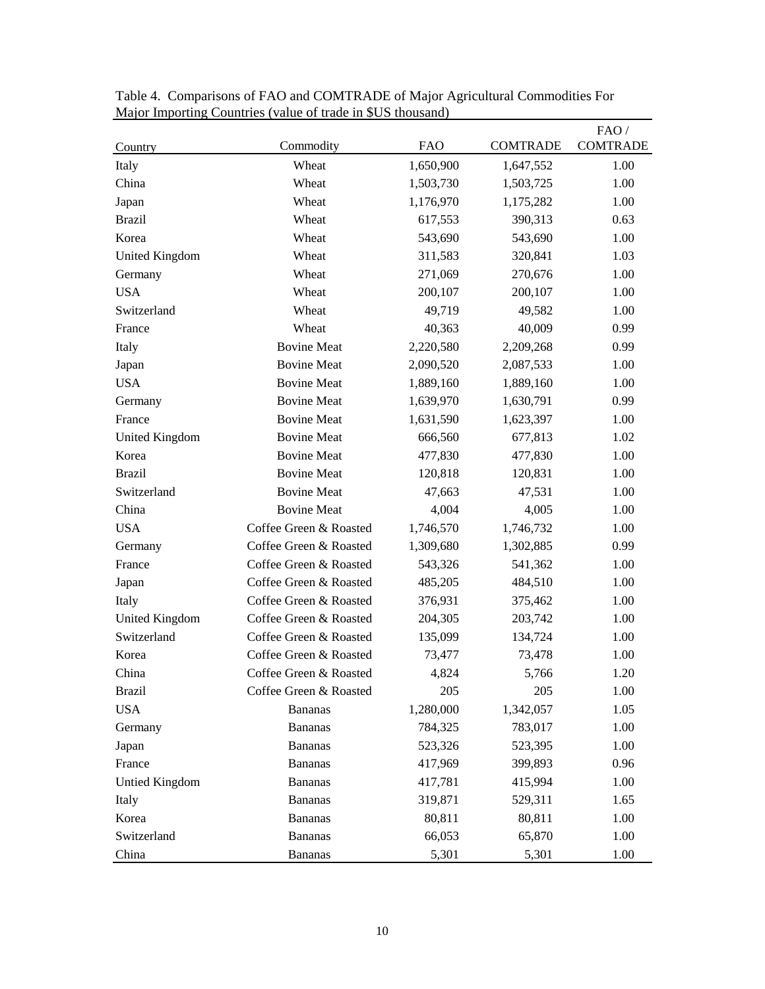| Country               | Commodity              | <b>FAO</b> | <b>COMTRADE</b> | FAO/<br><b>COMTRADE</b> |
|-----------------------|------------------------|------------|-----------------|-------------------------|
| Italy                 | Wheat                  | 1,650,900  | 1,647,552       | 1.00                    |
| China                 | Wheat                  | 1,503,730  | 1,503,725       | 1.00                    |
| Japan                 | Wheat                  | 1,176,970  | 1,175,282       | 1.00                    |
| <b>Brazil</b>         | Wheat                  | 617,553    | 390,313         | 0.63                    |
| Korea                 | Wheat                  | 543,690    | 543,690         | 1.00                    |
| <b>United Kingdom</b> | Wheat                  | 311,583    | 320,841         | 1.03                    |
| Germany               | Wheat                  | 271,069    | 270,676         | 1.00                    |
| <b>USA</b>            | Wheat                  | 200,107    | 200,107         | 1.00                    |
| Switzerland           | Wheat                  | 49,719     | 49,582          | 1.00                    |
| France                | Wheat                  | 40,363     | 40,009          | 0.99                    |
| Italy                 | <b>Bovine Meat</b>     | 2,220,580  | 2,209,268       | 0.99                    |
| Japan                 | <b>Bovine Meat</b>     | 2,090,520  | 2,087,533       | 1.00                    |
| <b>USA</b>            | <b>Bovine Meat</b>     | 1,889,160  | 1,889,160       | 1.00                    |
| Germany               | <b>Bovine Meat</b>     | 1,639,970  | 1,630,791       | 0.99                    |
| France                | <b>Bovine Meat</b>     | 1,631,590  | 1,623,397       | 1.00                    |
| United Kingdom        | <b>Bovine Meat</b>     | 666,560    | 677,813         | 1.02                    |
| Korea                 | <b>Bovine Meat</b>     | 477,830    | 477,830         | 1.00                    |
| <b>Brazil</b>         | <b>Bovine Meat</b>     | 120,818    | 120,831         | 1.00                    |
| Switzerland           | <b>Bovine Meat</b>     | 47,663     | 47,531          | 1.00                    |
| China                 | <b>Bovine Meat</b>     | 4,004      | 4,005           | 1.00                    |
| <b>USA</b>            | Coffee Green & Roasted | 1,746,570  | 1,746,732       | 1.00                    |
| Germany               | Coffee Green & Roasted | 1,309,680  | 1,302,885       | 0.99                    |
| France                | Coffee Green & Roasted | 543,326    | 541,362         | 1.00                    |
| Japan                 | Coffee Green & Roasted | 485,205    | 484,510         | 1.00                    |
| Italy                 | Coffee Green & Roasted | 376,931    | 375,462         | 1.00                    |
| <b>United Kingdom</b> | Coffee Green & Roasted | 204,305    | 203,742         | 1.00                    |
| Switzerland           | Coffee Green & Roasted | 135,099    | 134,724         | 1.00                    |
| Korea                 | Coffee Green & Roasted | 73,477     | 73,478          | 1.00                    |
| China                 | Coffee Green & Roasted | 4,824      | 5,766           | 1.20                    |
| <b>Brazil</b>         | Coffee Green & Roasted | 205        | 205             | 1.00                    |
| <b>USA</b>            | <b>Bananas</b>         | 1,280,000  | 1,342,057       | 1.05                    |
| Germany               | <b>Bananas</b>         | 784,325    | 783,017         | 1.00                    |
| Japan                 | <b>Bananas</b>         | 523,326    | 523,395         | 1.00                    |
| France                | <b>Bananas</b>         | 417,969    | 399,893         | 0.96                    |
| Untied Kingdom        | <b>Bananas</b>         | 417,781    | 415,994         | 1.00                    |
| Italy                 | <b>Bananas</b>         | 319,871    | 529,311         | 1.65                    |
| Korea                 | <b>Bananas</b>         | 80,811     | 80,811          | 1.00                    |
| Switzerland           | <b>Bananas</b>         | 66,053     | 65,870          | 1.00                    |
| China                 | <b>Bananas</b>         | 5,301      | 5,301           | 1.00                    |

Table 4. Comparisons of FAO and COMTRADE of Major Agricultural Commodities For Major Importing Countries (value of trade in \$US thousand)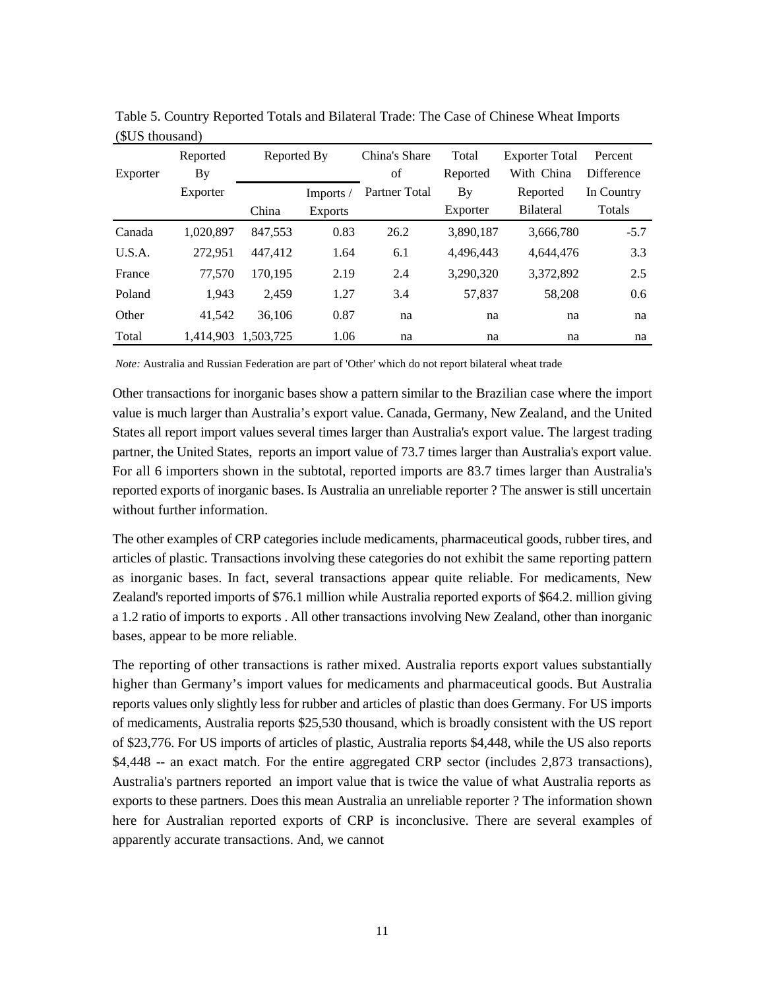| Exporter | Reported<br><b>By</b> | Reported By |                | China's Share<br>of | Total<br>Reported | <b>Exporter Total</b><br>With China | Percent<br><b>Difference</b> |
|----------|-----------------------|-------------|----------------|---------------------|-------------------|-------------------------------------|------------------------------|
|          | Exporter              |             | Imports/       | Partner Total       | By                | Reported                            | In Country                   |
|          |                       | China       | <b>Exports</b> |                     | Exporter          | <b>Bilateral</b>                    | Totals                       |
| Canada   | 1.020.897             | 847,553     | 0.83           | 26.2                | 3,890,187         | 3,666,780                           | $-5.7$                       |
| U.S.A.   | 272,951               | 447,412     | 1.64           | 6.1                 | 4.496.443         | 4.644.476                           | 3.3                          |
| France   | 77,570                | 170.195     | 2.19           | 2.4                 | 3,290,320         | 3,372,892                           | 2.5                          |
| Poland   | 1.943                 | 2.459       | 1.27           | 3.4                 | 57,837            | 58,208                              | 0.6                          |
| Other    | 41.542                | 36,106      | 0.87           | na                  | na                | na                                  | na                           |
| Total    | 1.414.903             | 1.503.725   | 1.06           | na                  | na                | na                                  | na                           |

Table 5. Country Reported Totals and Bilateral Trade: The Case of Chinese Wheat Imports (\$US thousand)

*Note:* Australia and Russian Federation are part of 'Other' which do not report bilateral wheat trade

Other transactions for inorganic bases show a pattern similar to the Brazilian case where the import value is much larger than Australia's export value. Canada, Germany, New Zealand, and the United States all report import values several times larger than Australia's export value. The largest trading partner, the United States, reports an import value of 73.7 times larger than Australia's export value. For all 6 importers shown in the subtotal, reported imports are 83.7 times larger than Australia's reported exports of inorganic bases. Is Australia an unreliable reporter ? The answer is still uncertain without further information.

The other examples of CRP categories include medicaments, pharmaceutical goods, rubber tires, and articles of plastic. Transactions involving these categories do not exhibit the same reporting pattern as inorganic bases. In fact, several transactions appear quite reliable. For medicaments, New Zealand's reported imports of \$76.1 million while Australia reported exports of \$64.2. million giving a 1.2 ratio of imports to exports . All other transactions involving New Zealand, other than inorganic bases, appear to be more reliable.

The reporting of other transactions is rather mixed. Australia reports export values substantially higher than Germany's import values for medicaments and pharmaceutical goods. But Australia reports values only slightly less for rubber and articles of plastic than does Germany. For US imports of medicaments, Australia reports \$25,530 thousand, which is broadly consistent with the US report of \$23,776. For US imports of articles of plastic, Australia reports \$4,448, while the US also reports \$4,448 -- an exact match. For the entire aggregated CRP sector (includes 2,873 transactions), Australia's partners reported an import value that is twice the value of what Australia reports as exports to these partners. Does this mean Australia an unreliable reporter ? The information shown here for Australian reported exports of CRP is inconclusive. There are several examples of apparently accurate transactions. And, we cannot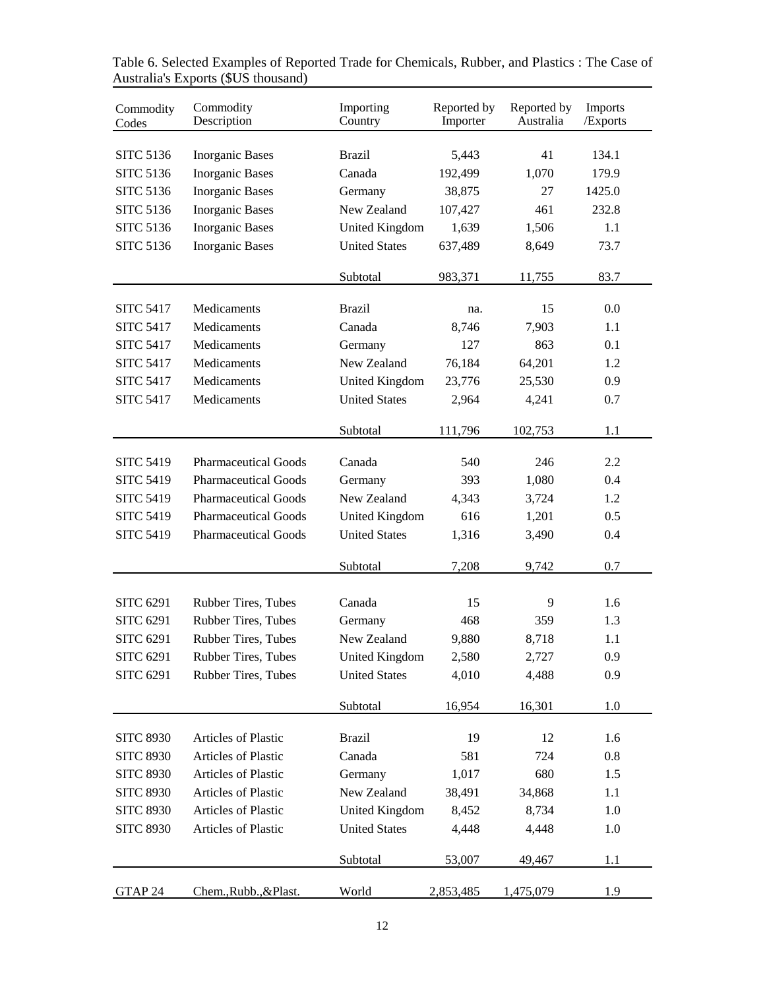| Commodity<br>Codes | Commodity<br>Description    | Importing<br>Country  | Reported by<br>Importer | Reported by<br>Australia | Imports<br>/Exports |
|--------------------|-----------------------------|-----------------------|-------------------------|--------------------------|---------------------|
| <b>SITC 5136</b>   | <b>Inorganic Bases</b>      | <b>Brazil</b>         | 5,443                   | 41                       | 134.1               |
| <b>SITC 5136</b>   | <b>Inorganic Bases</b>      | Canada                | 192,499                 | 1,070                    | 179.9               |
| <b>SITC 5136</b>   | <b>Inorganic Bases</b>      | Germany               | 38,875                  | 27                       | 1425.0              |
| <b>SITC 5136</b>   | <b>Inorganic Bases</b>      | New Zealand           | 107,427                 | 461                      | 232.8               |
| <b>SITC 5136</b>   | <b>Inorganic Bases</b>      | <b>United Kingdom</b> | 1,639                   | 1,506                    | 1.1                 |
| <b>SITC 5136</b>   | <b>Inorganic Bases</b>      | <b>United States</b>  | 637,489                 | 8,649                    | 73.7                |
|                    |                             |                       |                         |                          |                     |
|                    |                             | Subtotal              | 983,371                 | 11,755                   | 83.7                |
| <b>SITC 5417</b>   | Medicaments                 | <b>Brazil</b>         | na.                     | 15                       | 0.0                 |
| <b>SITC 5417</b>   | Medicaments                 | Canada                | 8,746                   | 7,903                    | 1.1                 |
| <b>SITC 5417</b>   | Medicaments                 | Germany               | 127                     | 863                      | 0.1                 |
| <b>SITC 5417</b>   | Medicaments                 | New Zealand           | 76,184                  | 64,201                   | 1.2                 |
| <b>SITC 5417</b>   | Medicaments                 | <b>United Kingdom</b> | 23,776                  | 25,530                   | 0.9                 |
| <b>SITC 5417</b>   | Medicaments                 | <b>United States</b>  | 2,964                   | 4,241                    | 0.7                 |
|                    |                             |                       |                         |                          |                     |
|                    |                             | Subtotal              | 111,796                 | 102,753                  | 1.1                 |
| <b>SITC 5419</b>   | <b>Pharmaceutical Goods</b> | Canada                | 540                     | 246                      | 2.2                 |
| <b>SITC 5419</b>   | <b>Pharmaceutical Goods</b> | Germany               | 393                     | 1,080                    | 0.4                 |
| <b>SITC 5419</b>   | <b>Pharmaceutical Goods</b> | New Zealand           | 4,343                   | 3,724                    | 1.2                 |
| <b>SITC 5419</b>   | <b>Pharmaceutical Goods</b> | <b>United Kingdom</b> | 616                     | 1,201                    | 0.5                 |
| <b>SITC 5419</b>   | <b>Pharmaceutical Goods</b> | <b>United States</b>  | 1,316                   | 3,490                    | 0.4                 |
|                    |                             |                       |                         |                          |                     |
|                    |                             | Subtotal              | 7,208                   | 9,742                    | 0.7                 |
|                    |                             |                       |                         |                          |                     |
| <b>SITC 6291</b>   | <b>Rubber Tires, Tubes</b>  | Canada                | 15                      | 9                        | 1.6                 |
| <b>SITC 6291</b>   | <b>Rubber Tires, Tubes</b>  | Germany               | 468                     | 359                      | 1.3                 |
| <b>SITC 6291</b>   | Rubber Tires, Tubes         | New Zealand           | 9,880                   | 8,718                    | 1.1                 |
| <b>SITC 6291</b>   | Rubber Tires, Tubes         | <b>United Kingdom</b> | 2,580                   | 2,727                    | 0.9                 |
| <b>SITC 6291</b>   | Rubber Tires, Tubes         | <b>United States</b>  | 4,010                   | 4,488                    | 0.9                 |
|                    |                             |                       |                         |                          |                     |
|                    |                             | Subtotal              | 16,954                  | 16,301                   | 1.0                 |
| <b>SITC 8930</b>   | Articles of Plastic         | <b>Brazil</b>         | 19                      | 12                       | 1.6                 |
| <b>SITC 8930</b>   | Articles of Plastic         | Canada                | 581                     | 724                      | 0.8                 |
| <b>SITC 8930</b>   | Articles of Plastic         | Germany               | 1,017                   | 680                      | 1.5                 |
| <b>SITC 8930</b>   | Articles of Plastic         | New Zealand           | 38,491                  | 34,868                   | 1.1                 |
| <b>SITC 8930</b>   | <b>Articles of Plastic</b>  | United Kingdom        | 8,452                   | 8,734                    | 1.0                 |
| <b>SITC 8930</b>   | Articles of Plastic         | <b>United States</b>  | 4,448                   | 4,448                    | 1.0                 |
|                    |                             |                       |                         |                          |                     |
|                    |                             | Subtotal              | 53,007                  | 49,467                   | 1.1                 |
| GTAP 24            | Chem., Rubb., & Plast.      | World                 | 2,853,485               | 1,475,079                | 1.9                 |

Table 6. Selected Examples of Reported Trade for Chemicals, Rubber, and Plastics : The Case of Australia's Exports (\$US thousand)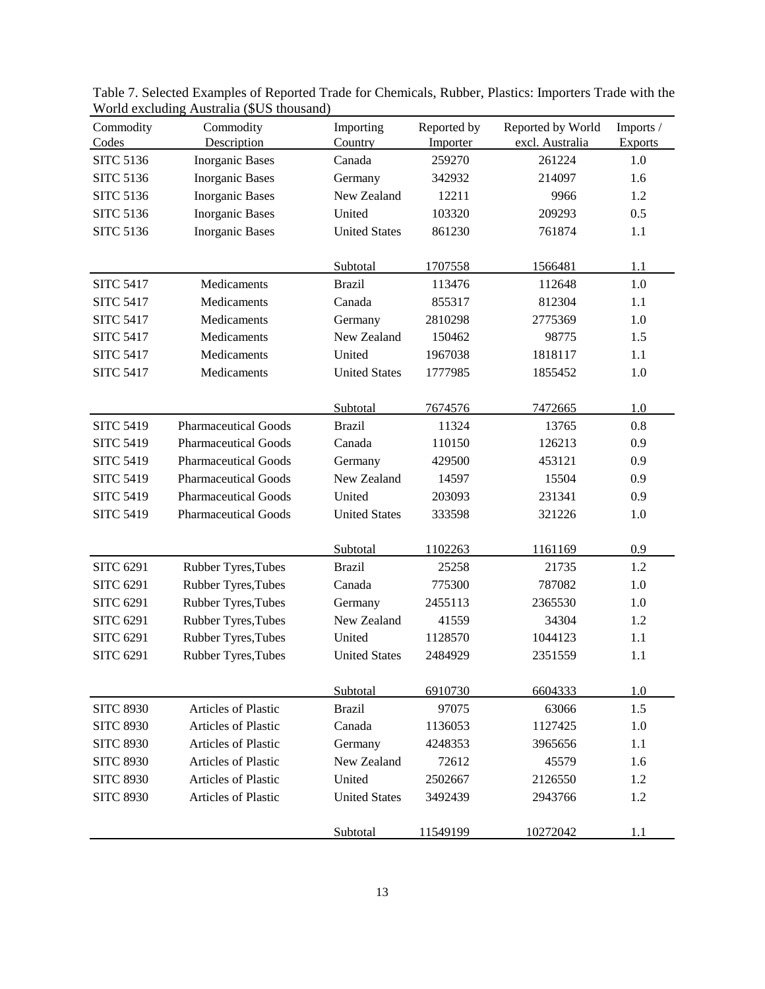| Commodity        | Commodity                   | Importing            | Reported by | Reported by World | Imports /      |
|------------------|-----------------------------|----------------------|-------------|-------------------|----------------|
| Codes            | Description                 | Country              | Importer    | excl. Australia   | <b>Exports</b> |
| <b>SITC 5136</b> | <b>Inorganic Bases</b>      | Canada               | 259270      | 261224            | 1.0            |
| <b>SITC 5136</b> | <b>Inorganic Bases</b>      | Germany              | 342932      | 214097            | 1.6            |
| <b>SITC 5136</b> | <b>Inorganic Bases</b>      | New Zealand          | 12211       | 9966              | 1.2            |
| <b>SITC 5136</b> | <b>Inorganic Bases</b>      | United               | 103320      | 209293            | 0.5            |
| <b>SITC 5136</b> | <b>Inorganic Bases</b>      | <b>United States</b> | 861230      | 761874            | 1.1            |
|                  |                             |                      |             |                   |                |
|                  |                             | Subtotal             | 1707558     | 1566481           | 1.1            |
| <b>SITC 5417</b> | Medicaments                 | <b>Brazil</b>        | 113476      | 112648            | 1.0            |
| <b>SITC 5417</b> | Medicaments                 | Canada               | 855317      | 812304            | 1.1            |
| <b>SITC 5417</b> | Medicaments                 | Germany              | 2810298     | 2775369           | 1.0            |
| <b>SITC 5417</b> | Medicaments                 | New Zealand          | 150462      | 98775             | 1.5            |
| <b>SITC 5417</b> | Medicaments                 | United               | 1967038     | 1818117           | 1.1            |
| <b>SITC 5417</b> | Medicaments                 | <b>United States</b> | 1777985     | 1855452           | 1.0            |
|                  |                             |                      |             |                   |                |
|                  |                             | Subtotal             | 7674576     | 7472665           | 1.0            |
| <b>SITC 5419</b> | <b>Pharmaceutical Goods</b> | <b>Brazil</b>        | 11324       | 13765             | 0.8            |
| <b>SITC 5419</b> | <b>Pharmaceutical Goods</b> | Canada               | 110150      | 126213            | 0.9            |
| <b>SITC 5419</b> | <b>Pharmaceutical Goods</b> | Germany              | 429500      | 453121            | 0.9            |
| <b>SITC 5419</b> | <b>Pharmaceutical Goods</b> | New Zealand          | 14597       | 15504             | 0.9            |
| <b>SITC 5419</b> | <b>Pharmaceutical Goods</b> | United               | 203093      | 231341            | 0.9            |
| <b>SITC 5419</b> | <b>Pharmaceutical Goods</b> | <b>United States</b> | 333598      | 321226            | 1.0            |
|                  |                             |                      |             |                   |                |
|                  |                             | Subtotal             | 1102263     | 1161169           | 0.9            |
| <b>SITC 6291</b> | Rubber Tyres, Tubes         | <b>Brazil</b>        | 25258       | 21735             | 1.2            |
| <b>SITC 6291</b> | Rubber Tyres, Tubes         | Canada               | 775300      | 787082            | 1.0            |
| <b>SITC 6291</b> | Rubber Tyres, Tubes         | Germany              | 2455113     | 2365530           | 1.0            |
| <b>SITC 6291</b> | Rubber Tyres, Tubes         | New Zealand          | 41559       | 34304             | 1.2            |
| <b>SITC 6291</b> | Rubber Tyres, Tubes         | United               | 1128570     | 1044123           | 1.1            |
| <b>SITC 6291</b> | Rubber Tyres, Tubes         | <b>United States</b> | 2484929     | 2351559           | 1.1            |
|                  |                             |                      |             |                   |                |
|                  |                             | Subtotal             | 6910730     | 6604333           | 1.0            |
| <b>SITC 8930</b> | Articles of Plastic         | <b>Brazil</b>        | 97075       | 63066             | 1.5            |
| <b>SITC 8930</b> | Articles of Plastic         | Canada               | 1136053     | 1127425           | 1.0            |
| <b>SITC 8930</b> | <b>Articles of Plastic</b>  | Germany              | 4248353     | 3965656           | 1.1            |
| <b>SITC 8930</b> | <b>Articles of Plastic</b>  | New Zealand          | 72612       | 45579             | 1.6            |
| <b>SITC 8930</b> | Articles of Plastic         | United               | 2502667     | 2126550           | 1.2            |
| <b>SITC 8930</b> | Articles of Plastic         | <b>United States</b> | 3492439     | 2943766           | 1.2            |
|                  |                             |                      | 11549199    | 10272042          | 1.1            |
|                  |                             | Subtotal             |             |                   |                |

Table 7. Selected Examples of Reported Trade for Chemicals, Rubber, Plastics: Importers Trade with the World excluding Australia (\$US thousand)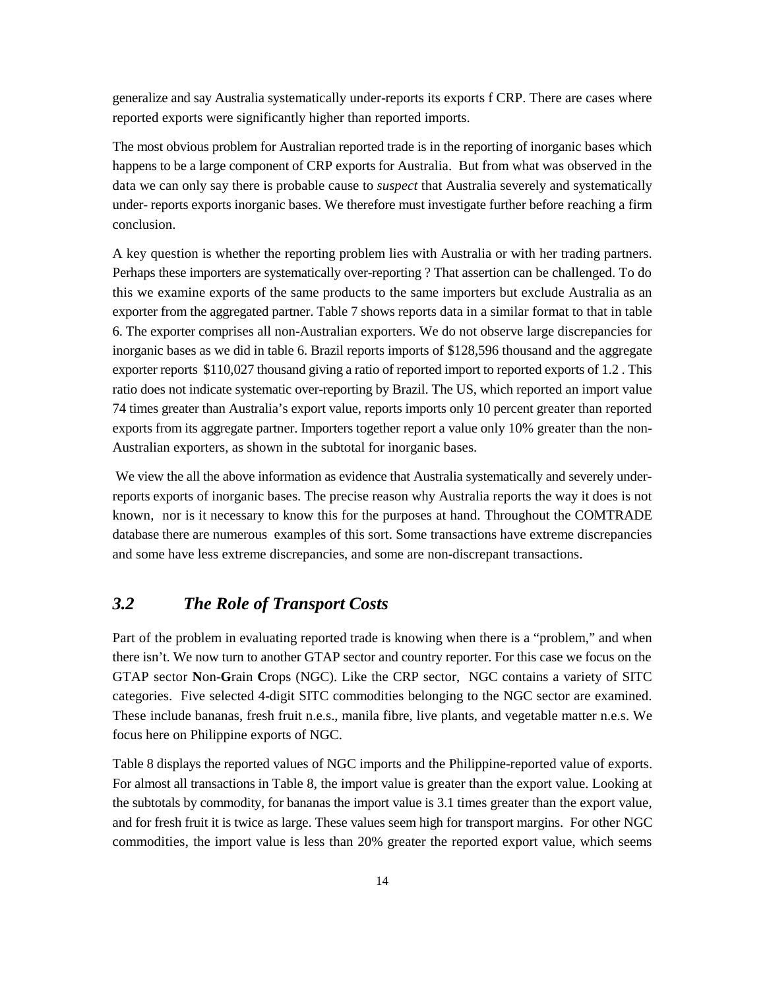generalize and say Australia systematically under-reports its exports f CRP. There are cases where reported exports were significantly higher than reported imports.

The most obvious problem for Australian reported trade is in the reporting of inorganic bases which happens to be a large component of CRP exports for Australia. But from what was observed in the data we can only say there is probable cause to *suspect* that Australia severely and systematically under- reports exports inorganic bases. We therefore must investigate further before reaching a firm conclusion.

A key question is whether the reporting problem lies with Australia or with her trading partners. Perhaps these importers are systematically over-reporting ? That assertion can be challenged. To do this we examine exports of the same products to the same importers but exclude Australia as an exporter from the aggregated partner. Table 7 shows reports data in a similar format to that in table 6. The exporter comprises all non-Australian exporters. We do not observe large discrepancies for inorganic bases as we did in table 6. Brazil reports imports of \$128,596 thousand and the aggregate exporter reports \$110,027 thousand giving a ratio of reported import to reported exports of 1.2 . This ratio does not indicate systematic over-reporting by Brazil. The US, which reported an import value 74 times greater than Australia's export value, reports imports only 10 percent greater than reported exports from its aggregate partner. Importers together report a value only 10% greater than the non-Australian exporters, as shown in the subtotal for inorganic bases.

We view the all the above information as evidence that Australia systematically and severely underreports exports of inorganic bases. The precise reason why Australia reports the way it does is not known, nor is it necessary to know this for the purposes at hand. Throughout the COMTRADE database there are numerous examples of this sort. Some transactions have extreme discrepancies and some have less extreme discrepancies, and some are non-discrepant transactions.

#### *3.2 The Role of Transport Costs*

Part of the problem in evaluating reported trade is knowing when there is a "problem," and when there isn't. We now turn to another GTAP sector and country reporter. For this case we focus on the GTAP sector **N**on-**G**rain **C**rops (NGC). Like the CRP sector, NGC contains a variety of SITC categories. Five selected 4-digit SITC commodities belonging to the NGC sector are examined. These include bananas, fresh fruit n.e.s., manila fibre, live plants, and vegetable matter n.e.s. We focus here on Philippine exports of NGC.

Table 8 displays the reported values of NGC imports and the Philippine-reported value of exports. For almost all transactions in Table 8, the import value is greater than the export value. Looking at the subtotals by commodity, for bananas the import value is 3.1 times greater than the export value, and for fresh fruit it is twice as large. These values seem high for transport margins. For other NGC commodities, the import value is less than 20% greater the reported export value, which seems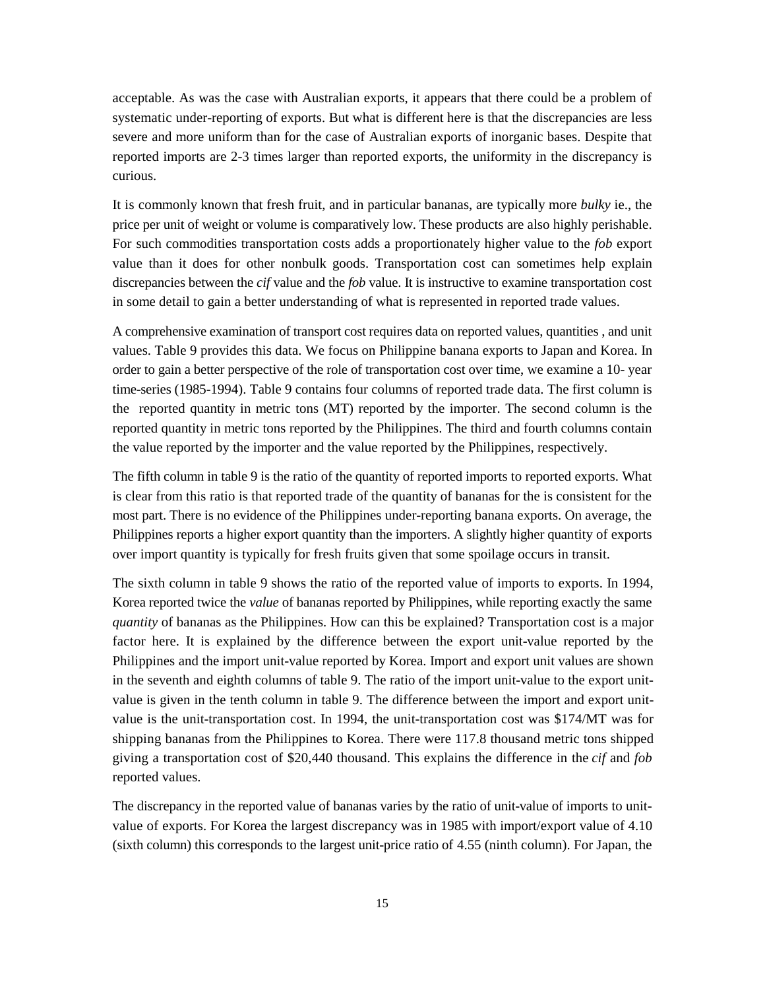acceptable. As was the case with Australian exports, it appears that there could be a problem of systematic under-reporting of exports. But what is different here is that the discrepancies are less severe and more uniform than for the case of Australian exports of inorganic bases. Despite that reported imports are 2-3 times larger than reported exports, the uniformity in the discrepancy is curious.

It is commonly known that fresh fruit, and in particular bananas, are typically more *bulky* ie., the price per unit of weight or volume is comparatively low. These products are also highly perishable. For such commodities transportation costs adds a proportionately higher value to the *fob* export value than it does for other nonbulk goods. Transportation cost can sometimes help explain discrepancies between the *cif* value and the *fob* value. It is instructive to examine transportation cost in some detail to gain a better understanding of what is represented in reported trade values.

A comprehensive examination of transport cost requires data on reported values, quantities , and unit values. Table 9 provides this data. We focus on Philippine banana exports to Japan and Korea. In order to gain a better perspective of the role of transportation cost over time, we examine a 10- year time-series (1985-1994). Table 9 contains four columns of reported trade data. The first column is the reported quantity in metric tons (MT) reported by the importer. The second column is the reported quantity in metric tons reported by the Philippines. The third and fourth columns contain the value reported by the importer and the value reported by the Philippines, respectively.

The fifth column in table 9 is the ratio of the quantity of reported imports to reported exports. What is clear from this ratio is that reported trade of the quantity of bananas for the is consistent for the most part. There is no evidence of the Philippines under-reporting banana exports. On average, the Philippines reports a higher export quantity than the importers. A slightly higher quantity of exports over import quantity is typically for fresh fruits given that some spoilage occurs in transit.

The sixth column in table 9 shows the ratio of the reported value of imports to exports. In 1994, Korea reported twice the *value* of bananas reported by Philippines, while reporting exactly the same *quantity* of bananas as the Philippines. How can this be explained? Transportation cost is a major factor here. It is explained by the difference between the export unit-value reported by the Philippines and the import unit-value reported by Korea. Import and export unit values are shown in the seventh and eighth columns of table 9. The ratio of the import unit-value to the export unitvalue is given in the tenth column in table 9. The difference between the import and export unitvalue is the unit-transportation cost. In 1994, the unit-transportation cost was \$174/MT was for shipping bananas from the Philippines to Korea. There were 117.8 thousand metric tons shipped giving a transportation cost of \$20,440 thousand. This explains the difference in the *cif* and *fob* reported values.

The discrepancy in the reported value of bananas varies by the ratio of unit-value of imports to unitvalue of exports. For Korea the largest discrepancy was in 1985 with import/export value of 4.10 (sixth column) this corresponds to the largest unit-price ratio of 4.55 (ninth column). For Japan, the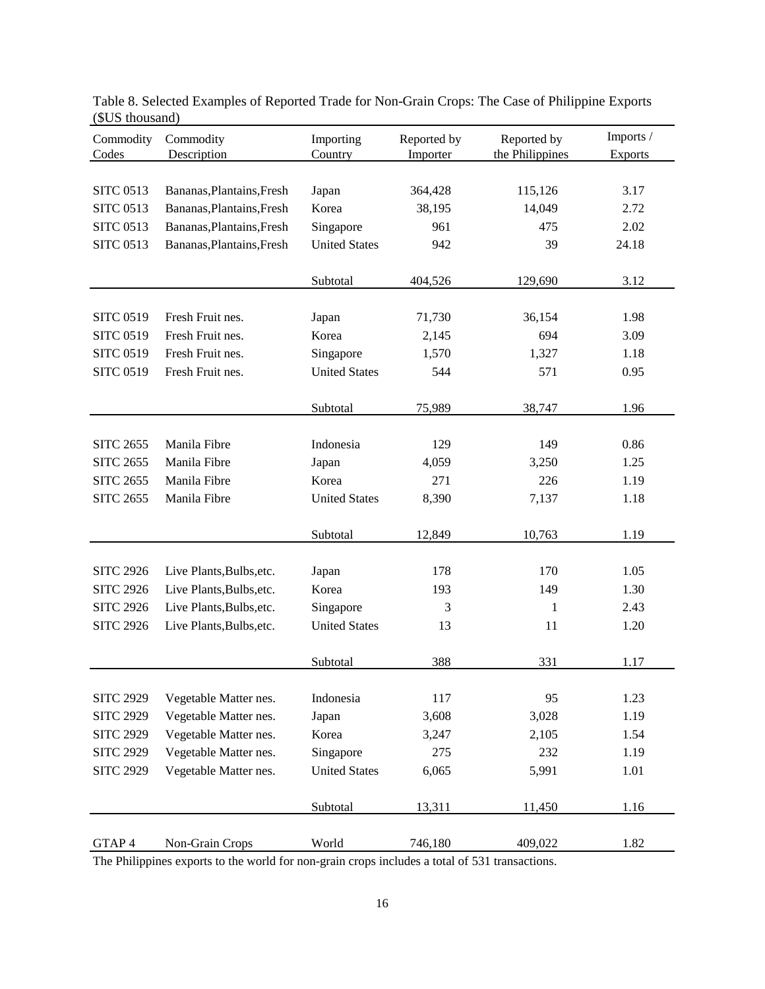| Commodity<br>Codes | Commodity<br>Description                             | Importing<br>Country | Reported by<br>Importer | Reported by<br>the Philippines | Imports /<br><b>Exports</b> |
|--------------------|------------------------------------------------------|----------------------|-------------------------|--------------------------------|-----------------------------|
|                    |                                                      |                      |                         |                                |                             |
| <b>SITC 0513</b>   | Bananas, Plantains, Fresh                            | Japan                | 364,428                 | 115,126                        | 3.17                        |
| <b>SITC 0513</b>   | Bananas, Plantains, Fresh                            | Korea                | 38,195                  | 14,049                         | 2.72                        |
| <b>SITC 0513</b>   | Bananas, Plantains, Fresh                            | Singapore            | 961                     | 475                            | 2.02                        |
| <b>SITC 0513</b>   | Bananas, Plantains, Fresh                            | <b>United States</b> | 942                     | 39                             | 24.18                       |
|                    |                                                      |                      |                         |                                |                             |
|                    |                                                      | Subtotal             | 404,526                 | 129,690                        | 3.12                        |
|                    |                                                      |                      |                         |                                |                             |
| <b>SITC 0519</b>   | Fresh Fruit nes.                                     | Japan                | 71,730                  | 36,154                         | 1.98                        |
| <b>SITC 0519</b>   | Fresh Fruit nes.                                     | Korea                | 2,145                   | 694                            | 3.09                        |
| <b>SITC 0519</b>   | Fresh Fruit nes.                                     | Singapore            | 1,570                   | 1,327                          | 1.18                        |
| <b>SITC 0519</b>   | Fresh Fruit nes.                                     | <b>United States</b> | 544                     | 571                            | 0.95                        |
|                    |                                                      |                      |                         |                                |                             |
|                    |                                                      | Subtotal             | 75,989                  | 38,747                         | 1.96                        |
|                    |                                                      |                      |                         |                                |                             |
| <b>SITC 2655</b>   | Manila Fibre                                         | Indonesia            | 129                     | 149                            | 0.86                        |
| <b>SITC 2655</b>   | Manila Fibre                                         | Japan                | 4,059                   | 3,250                          | 1.25                        |
| <b>SITC 2655</b>   | Manila Fibre                                         | Korea                | 271                     | 226                            | 1.19                        |
| <b>SITC 2655</b>   | Manila Fibre                                         | <b>United States</b> | 8,390                   | 7,137                          | 1.18                        |
|                    |                                                      |                      |                         |                                |                             |
|                    |                                                      | Subtotal             | 12,849                  | 10,763                         | 1.19                        |
| <b>SITC 2926</b>   |                                                      |                      | 178                     | 170                            | 1.05                        |
| <b>SITC 2926</b>   | Live Plants, Bulbs, etc.<br>Live Plants, Bulbs, etc. | Japan<br>Korea       | 193                     | 149                            | 1.30                        |
| <b>SITC 2926</b>   | Live Plants, Bulbs, etc.                             | Singapore            | 3                       | $\mathbf{1}$                   | 2.43                        |
| <b>SITC 2926</b>   | Live Plants, Bulbs, etc.                             | <b>United States</b> | 13                      | 11                             | 1.20                        |
|                    |                                                      |                      |                         |                                |                             |
|                    |                                                      | Subtotal             | 388                     | 331                            | 1.17                        |
|                    |                                                      |                      |                         |                                |                             |
| <b>SITC 2929</b>   | Vegetable Matter nes.                                | Indonesia            | 117                     | 95                             | 1.23                        |
| <b>SITC 2929</b>   | Vegetable Matter nes.                                | Japan                | 3,608                   | 3,028                          | 1.19                        |
| <b>SITC 2929</b>   | Vegetable Matter nes.                                | Korea                | 3,247                   | 2,105                          | 1.54                        |
| <b>SITC 2929</b>   | Vegetable Matter nes.                                | Singapore            | 275                     | 232                            | 1.19                        |
| <b>SITC 2929</b>   | Vegetable Matter nes.                                | <b>United States</b> | 6,065                   | 5,991                          | 1.01                        |
|                    |                                                      |                      |                         |                                |                             |
|                    |                                                      | Subtotal             | 13,311                  | 11,450                         | 1.16                        |
|                    |                                                      |                      |                         |                                |                             |
| GTAP 4             | Non-Grain Crops                                      | World                | 746,180                 | 409,022                        | 1.82                        |

Table 8. Selected Examples of Reported Trade for Non-Grain Crops: The Case of Philippine Exports (\$US thousand)

The Philippines exports to the world for non-grain crops includes a total of 531 transactions.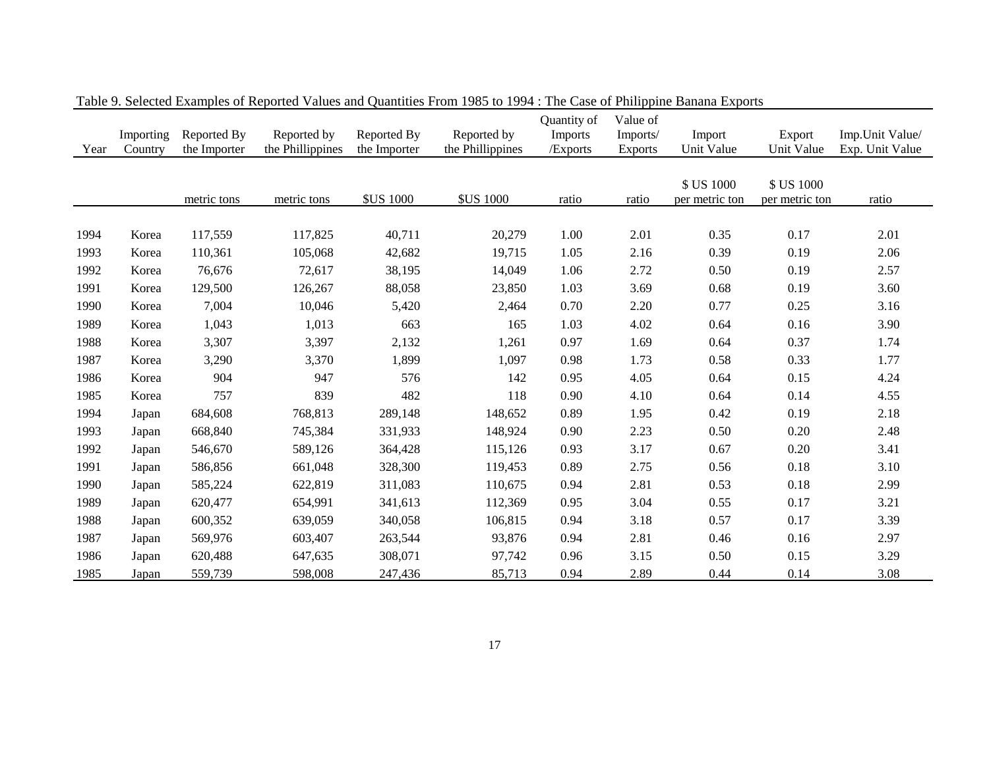| Year | Importing<br>Country | Reported By<br>the Importer | Reported by<br>the Phillippines | Reported By<br>the Importer | Reported by<br>the Phillippines | Quantity of<br><b>Imports</b><br>/Exports | Value of<br>Imports/<br><b>Exports</b> | Import<br>Unit Value         | Export<br>Unit Value         | Imp.Unit Value/<br>Exp. Unit Value |
|------|----------------------|-----------------------------|---------------------------------|-----------------------------|---------------------------------|-------------------------------------------|----------------------------------------|------------------------------|------------------------------|------------------------------------|
|      |                      | metric tons                 | metric tons                     | <b>\$US 1000</b>            | <b>\$US 1000</b>                | ratio                                     | ratio                                  | \$ US 1000<br>per metric ton | \$ US 1000<br>per metric ton | ratio                              |
|      |                      |                             |                                 |                             |                                 |                                           |                                        |                              |                              |                                    |
| 1994 | Korea                | 117,559                     | 117,825                         | 40,711                      | 20,279                          | 1.00                                      | 2.01                                   | 0.35                         | 0.17                         | 2.01                               |
| 1993 | Korea                | 110,361                     | 105,068                         | 42,682                      | 19,715                          | 1.05                                      | 2.16                                   | 0.39                         | 0.19                         | 2.06                               |
| 1992 | Korea                | 76,676                      | 72,617                          | 38,195                      | 14,049                          | 1.06                                      | 2.72                                   | 0.50                         | 0.19                         | 2.57                               |
| 1991 | Korea                | 129,500                     | 126,267                         | 88,058                      | 23,850                          | 1.03                                      | 3.69                                   | 0.68                         | 0.19                         | 3.60                               |
| 1990 | Korea                | 7,004                       | 10,046                          | 5,420                       | 2,464                           | 0.70                                      | 2.20                                   | 0.77                         | 0.25                         | 3.16                               |
| 1989 | Korea                | 1,043                       | 1,013                           | 663                         | 165                             | 1.03                                      | 4.02                                   | 0.64                         | 0.16                         | 3.90                               |
| 1988 | Korea                | 3,307                       | 3,397                           | 2,132                       | 1,261                           | 0.97                                      | 1.69                                   | 0.64                         | 0.37                         | 1.74                               |
| 1987 | Korea                | 3,290                       | 3,370                           | 1,899                       | 1,097                           | 0.98                                      | 1.73                                   | 0.58                         | 0.33                         | 1.77                               |
| 1986 | Korea                | 904                         | 947                             | 576                         | 142                             | 0.95                                      | 4.05                                   | 0.64                         | 0.15                         | 4.24                               |
| 1985 | Korea                | 757                         | 839                             | 482                         | 118                             | 0.90                                      | 4.10                                   | 0.64                         | 0.14                         | 4.55                               |
| 1994 | Japan                | 684,608                     | 768,813                         | 289,148                     | 148,652                         | 0.89                                      | 1.95                                   | 0.42                         | 0.19                         | 2.18                               |
| 1993 | Japan                | 668,840                     | 745,384                         | 331,933                     | 148,924                         | 0.90                                      | 2.23                                   | 0.50                         | 0.20                         | 2.48                               |
| 1992 | Japan                | 546,670                     | 589,126                         | 364,428                     | 115,126                         | 0.93                                      | 3.17                                   | 0.67                         | 0.20                         | 3.41                               |
| 1991 | Japan                | 586,856                     | 661,048                         | 328,300                     | 119,453                         | 0.89                                      | 2.75                                   | 0.56                         | 0.18                         | 3.10                               |
| 1990 | Japan                | 585,224                     | 622,819                         | 311,083                     | 110,675                         | 0.94                                      | 2.81                                   | 0.53                         | 0.18                         | 2.99                               |
| 1989 | Japan                | 620,477                     | 654,991                         | 341,613                     | 112,369                         | 0.95                                      | 3.04                                   | 0.55                         | 0.17                         | 3.21                               |
| 1988 | Japan                | 600,352                     | 639,059                         | 340,058                     | 106,815                         | 0.94                                      | 3.18                                   | 0.57                         | 0.17                         | 3.39                               |
| 1987 | Japan                | 569,976                     | 603,407                         | 263,544                     | 93,876                          | 0.94                                      | 2.81                                   | 0.46                         | 0.16                         | 2.97                               |
| 1986 | Japan                | 620,488                     | 647,635                         | 308,071                     | 97,742                          | 0.96                                      | 3.15                                   | 0.50                         | 0.15                         | 3.29                               |
| 1985 | Japan                | 559,739                     | 598,008                         | 247,436                     | 85,713                          | 0.94                                      | 2.89                                   | 0.44                         | 0.14                         | 3.08                               |

Table 9. Selected Examples of Reported Values and Quantities From 1985 to 1994 : The Case of Philippine Banana Exports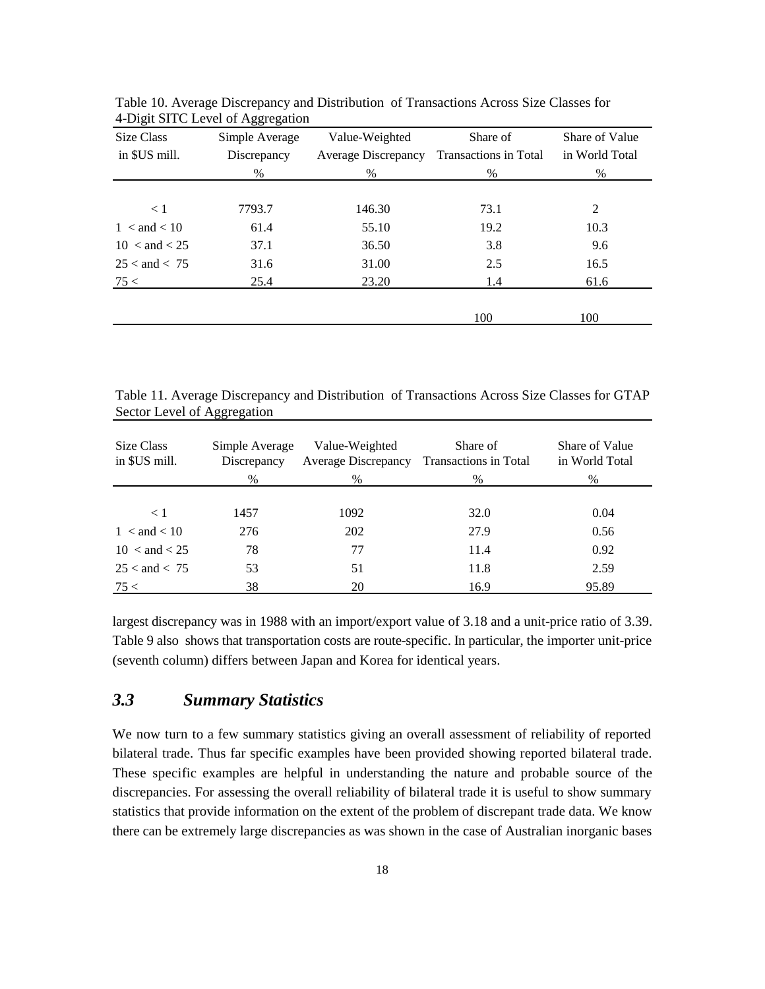| Size Class             | Simple Average | Value-Weighted             | Share of              | Share of Value<br>in World Total |  |
|------------------------|----------------|----------------------------|-----------------------|----------------------------------|--|
| in \$US mill.          | Discrepancy    | <b>Average Discrepancy</b> | Transactions in Total |                                  |  |
|                        | $\%$           | $\%$                       | $\%$                  | $\%$                             |  |
|                        |                |                            |                       |                                  |  |
| $\lt 1$                | 7793.7         | 146.30                     | 73.1                  | 2                                |  |
| $1 <$ and $< 10$       | 61.4           | 55.10                      | 19.2                  | 10.3                             |  |
| $10 < \text{and} < 25$ | 37.1           | 36.50                      | 3.8                   | 9.6                              |  |
| $25 <$ and $< 75$      | 31.6           | 31.00                      | 2.5                   | 16.5                             |  |
| 75 <                   | 25.4           | 23.20                      | 1.4                   | 61.6                             |  |
|                        |                |                            |                       |                                  |  |
|                        |                |                            | 100                   | 100                              |  |

Table 10. Average Discrepancy and Distribution of Transactions Across Size Classes for 4-Digit SITC Level of Aggregation

Table 11. Average Discrepancy and Distribution of Transactions Across Size Classes for GTAP Sector Level of Aggregation

| Size Class<br>in \$US mill. | Simple Average<br>Discrepancy<br>% | Value-Weighted<br><b>Average Discrepancy</b><br>$\%$ | Share of<br>Transactions in Total<br>% | Share of Value<br>in World Total<br>$\%$ |  |
|-----------------------------|------------------------------------|------------------------------------------------------|----------------------------------------|------------------------------------------|--|
|                             |                                    |                                                      |                                        |                                          |  |
| $\leq 1$                    | 1457                               | 1092                                                 | 32.0                                   | 0.04                                     |  |
| $1 <$ and $< 10$            | 276                                | 202                                                  | 27.9                                   | 0.56                                     |  |
| $10 < \text{and} < 25$      | 78                                 | 77                                                   | 11.4                                   | 0.92                                     |  |
| $25 <$ and $< 75$           | 53                                 | 51                                                   | 11.8                                   | 2.59                                     |  |
| 75 <                        | 38                                 | 20                                                   | 16.9                                   | 95.89                                    |  |

largest discrepancy was in 1988 with an import/export value of 3.18 and a unit-price ratio of 3.39. Table 9 also shows that transportation costs are route-specific. In particular, the importer unit-price (seventh column) differs between Japan and Korea for identical years.

#### *3.3 Summary Statistics*

We now turn to a few summary statistics giving an overall assessment of reliability of reported bilateral trade. Thus far specific examples have been provided showing reported bilateral trade. These specific examples are helpful in understanding the nature and probable source of the discrepancies. For assessing the overall reliability of bilateral trade it is useful to show summary statistics that provide information on the extent of the problem of discrepant trade data. We know there can be extremely large discrepancies as was shown in the case of Australian inorganic bases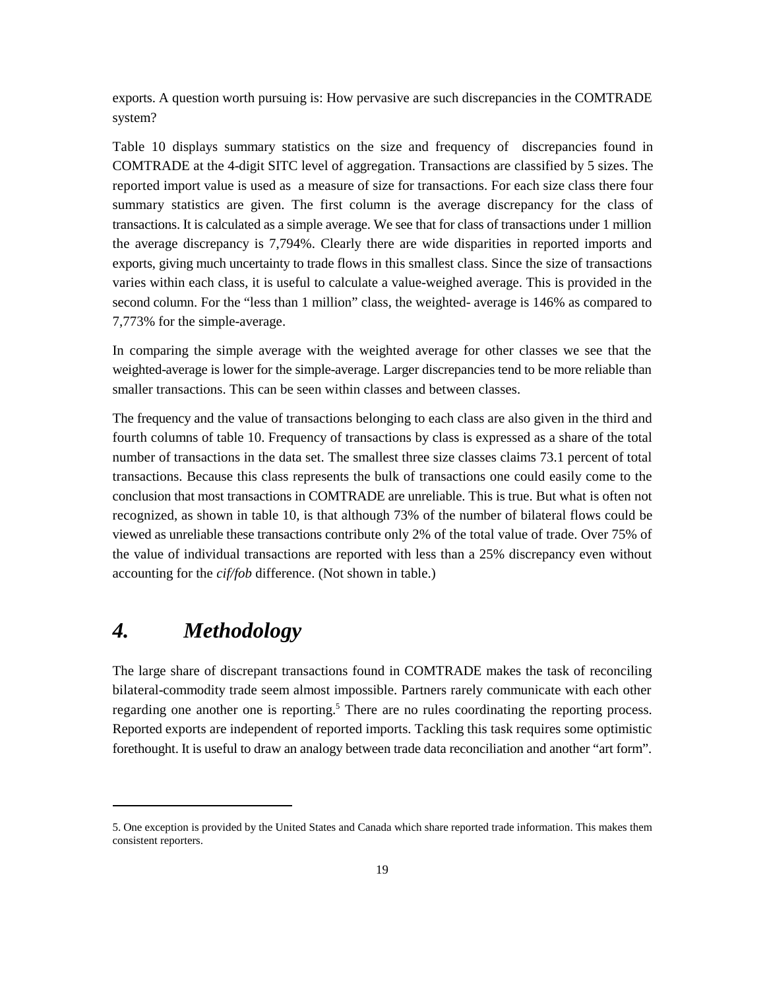exports. A question worth pursuing is: How pervasive are such discrepancies in the COMTRADE system?

Table 10 displays summary statistics on the size and frequency of discrepancies found in COMTRADE at the 4-digit SITC level of aggregation. Transactions are classified by 5 sizes. The reported import value is used as a measure of size for transactions. For each size class there four summary statistics are given. The first column is the average discrepancy for the class of transactions. It is calculated as a simple average. We see that for class of transactions under 1 million the average discrepancy is 7,794%. Clearly there are wide disparities in reported imports and exports, giving much uncertainty to trade flows in this smallest class. Since the size of transactions varies within each class, it is useful to calculate a value-weighed average. This is provided in the second column. For the "less than 1 million" class, the weighted- average is 146% as compared to 7,773% for the simple-average.

In comparing the simple average with the weighted average for other classes we see that the weighted-average is lower for the simple-average. Larger discrepancies tend to be more reliable than smaller transactions. This can be seen within classes and between classes.

The frequency and the value of transactions belonging to each class are also given in the third and fourth columns of table 10. Frequency of transactions by class is expressed as a share of the total number of transactions in the data set. The smallest three size classes claims 73.1 percent of total transactions. Because this class represents the bulk of transactions one could easily come to the conclusion that most transactions in COMTRADE are unreliable. This is true. But what is often not recognized, as shown in table 10, is that although 73% of the number of bilateral flows could be viewed as unreliable these transactions contribute only 2% of the total value of trade. Over 75% of the value of individual transactions are reported with less than a 25% discrepancy even without accounting for the *cif/fob* difference. (Not shown in table.)

## *4. Methodology*

The large share of discrepant transactions found in COMTRADE makes the task of reconciling bilateral-commodity trade seem almost impossible. Partners rarely communicate with each other regarding one another one is reporting.<sup>5</sup> There are no rules coordinating the reporting process. Reported exports are independent of reported imports. Tackling this task requires some optimistic forethought. It is useful to draw an analogy between trade data reconciliation and another "art form".

<sup>5.</sup> One exception is provided by the United States and Canada which share reported trade information. This makes them consistent reporters.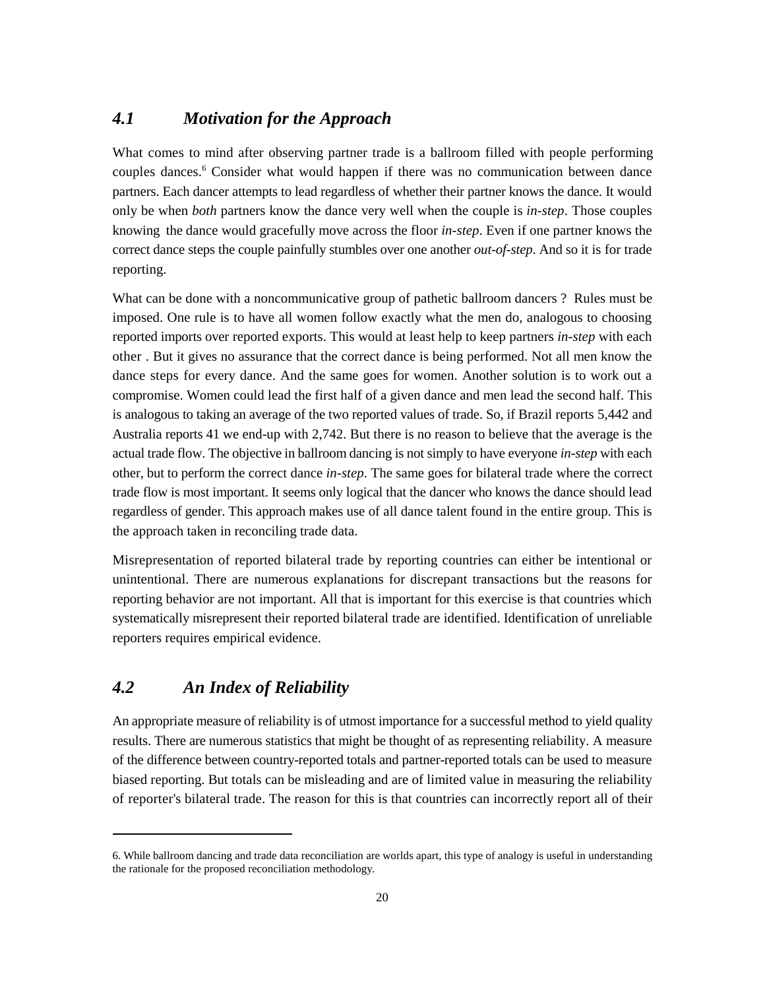### *4.1 Motivation for the Approach*

What comes to mind after observing partner trade is a ballroom filled with people performing couples dances.<sup>6</sup> Consider what would happen if there was no communication between dance partners. Each dancer attempts to lead regardless of whether their partner knows the dance. It would only be when *both* partners know the dance very well when the couple is *in-step*. Those couples knowing the dance would gracefully move across the floor *in-step*. Even if one partner knows the correct dance steps the couple painfully stumbles over one another *out-of-step*. And so it is for trade reporting.

What can be done with a noncommunicative group of pathetic ballroom dancers ? Rules must be imposed. One rule is to have all women follow exactly what the men do, analogous to choosing reported imports over reported exports. This would at least help to keep partners *in-step* with each other . But it gives no assurance that the correct dance is being performed. Not all men know the dance steps for every dance. And the same goes for women. Another solution is to work out a compromise. Women could lead the first half of a given dance and men lead the second half. This is analogous to taking an average of the two reported values of trade. So, if Brazil reports 5,442 and Australia reports 41 we end-up with 2,742. But there is no reason to believe that the average is the actual trade flow. The objective in ballroom dancing is not simply to have everyone *in-step* with each other, but to perform the correct dance *in-step*. The same goes for bilateral trade where the correct trade flow is most important. It seems only logical that the dancer who knows the dance should lead regardless of gender. This approach makes use of all dance talent found in the entire group. This is the approach taken in reconciling trade data.

Misrepresentation of reported bilateral trade by reporting countries can either be intentional or unintentional. There are numerous explanations for discrepant transactions but the reasons for reporting behavior are not important. All that is important for this exercise is that countries which systematically misrepresent their reported bilateral trade are identified. Identification of unreliable reporters requires empirical evidence.

#### *4.2 An Index of Reliability*

An appropriate measure of reliability is of utmost importance for a successful method to yield quality results. There are numerous statistics that might be thought of as representing reliability. A measure of the difference between country-reported totals and partner-reported totals can be used to measure biased reporting. But totals can be misleading and are of limited value in measuring the reliability of reporter's bilateral trade. The reason for this is that countries can incorrectly report all of their

<sup>6.</sup> While ballroom dancing and trade data reconciliation are worlds apart, this type of analogy is useful in understanding the rationale for the proposed reconciliation methodology.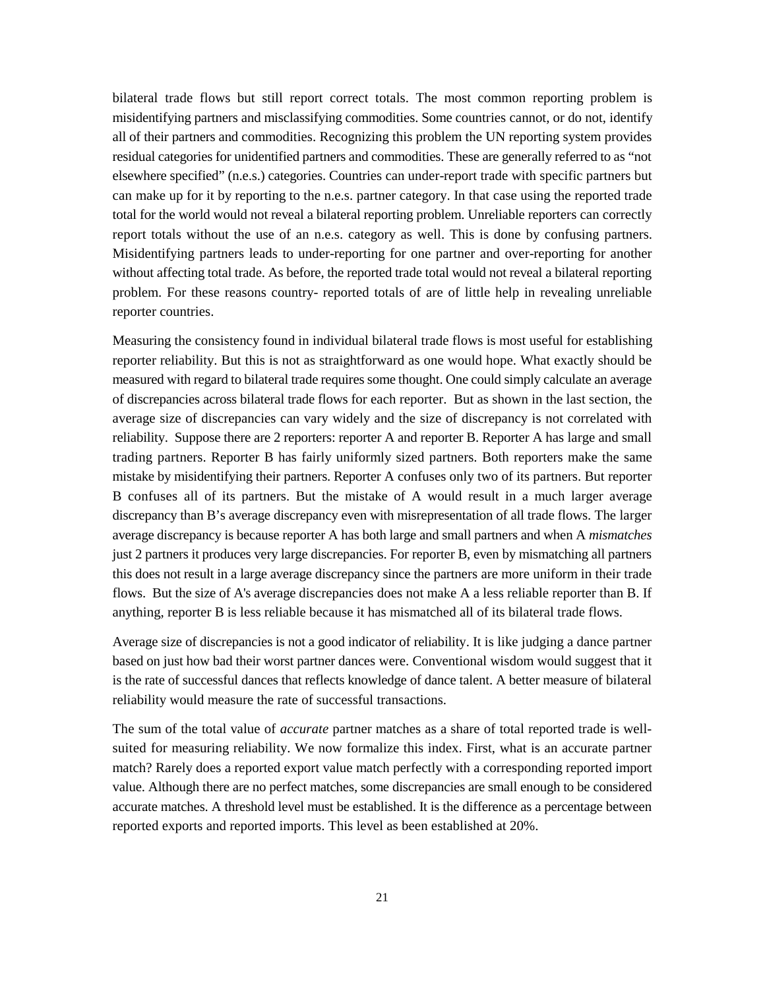bilateral trade flows but still report correct totals. The most common reporting problem is misidentifying partners and misclassifying commodities. Some countries cannot, or do not, identify all of their partners and commodities. Recognizing this problem the UN reporting system provides residual categories for unidentified partners and commodities. These are generally referred to as "not elsewhere specified" (n.e.s.) categories. Countries can under-report trade with specific partners but can make up for it by reporting to the n.e.s. partner category. In that case using the reported trade total for the world would not reveal a bilateral reporting problem. Unreliable reporters can correctly report totals without the use of an n.e.s. category as well. This is done by confusing partners. Misidentifying partners leads to under-reporting for one partner and over-reporting for another without affecting total trade. As before, the reported trade total would not reveal a bilateral reporting problem. For these reasons country- reported totals of are of little help in revealing unreliable reporter countries.

Measuring the consistency found in individual bilateral trade flows is most useful for establishing reporter reliability. But this is not as straightforward as one would hope. What exactly should be measured with regard to bilateral trade requires some thought. One could simply calculate an average of discrepancies across bilateral trade flows for each reporter. But as shown in the last section, the average size of discrepancies can vary widely and the size of discrepancy is not correlated with reliability. Suppose there are 2 reporters: reporter A and reporter B. Reporter A has large and small trading partners. Reporter B has fairly uniformly sized partners. Both reporters make the same mistake by misidentifying their partners. Reporter A confuses only two of its partners. But reporter B confuses all of its partners. But the mistake of A would result in a much larger average discrepancy than B's average discrepancy even with misrepresentation of all trade flows. The larger average discrepancy is because reporter A has both large and small partners and when A *mismatches* just 2 partners it produces very large discrepancies. For reporter B, even by mismatching all partners this does not result in a large average discrepancy since the partners are more uniform in their trade flows. But the size of A's average discrepancies does not make A a less reliable reporter than B. If anything, reporter B is less reliable because it has mismatched all of its bilateral trade flows.

Average size of discrepancies is not a good indicator of reliability. It is like judging a dance partner based on just how bad their worst partner dances were. Conventional wisdom would suggest that it is the rate of successful dances that reflects knowledge of dance talent. A better measure of bilateral reliability would measure the rate of successful transactions.

The sum of the total value of *accurate* partner matches as a share of total reported trade is wellsuited for measuring reliability. We now formalize this index. First, what is an accurate partner match? Rarely does a reported export value match perfectly with a corresponding reported import value. Although there are no perfect matches, some discrepancies are small enough to be considered accurate matches. A threshold level must be established. It is the difference as a percentage between reported exports and reported imports. This level as been established at 20%.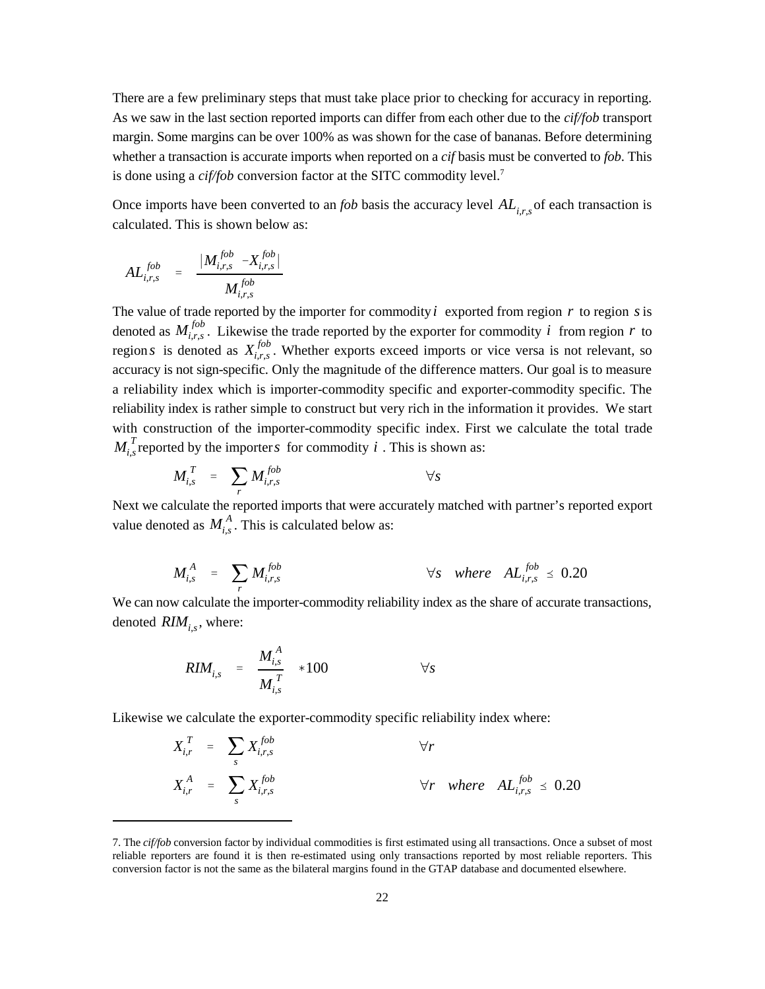There are a few preliminary steps that must take place prior to checking for accuracy in reporting. As we saw in the last section reported imports can differ from each other due to the *cif/fob* transport margin. Some margins can be over 100% as was shown for the case of bananas. Before determining whether a transaction is accurate imports when reported on a *cif* basis must be converted to *fob*. This is done using a *cif/fob* conversion factor at the SITC commodity level.7

Once imports have been converted to an *fob* basis the accuracy level  $AL_{i,r,s}$  of each transaction is calculated. This is shown below as:

$$
AL_{i,r,s}^{fob} = \frac{|M_{i,r,s}^{fob} - X_{i,r,s}^{fob}|}{M_{i,r,s}^{fob}}
$$

The value of trade reported by the importer for commodity  $i$  exported from region  $r$  to region  $s$  is denoted as  $M_{i,r,s}^{job}$ . Likewise the trade reported by the exporter for commodity *i* from region *r* to region *s* is denoted as  $X_{i,r,s}^{fob}$ . Whether exports exceed imports or vice versa is not relevant, so  $M_{i,s}^T$  reported by the importer *s* for commodity i. This is shown as: accuracy is not sign-specific. Only the magnitude of the difference matters. Our goal is to measure a reliability index which is importer-commodity specific and exporter-commodity specific. The reliability index is rather simple to construct but very rich in the information it provides. We start with construction of the importer-commodity specific index. First we calculate the total trade

$$
M_{i,s}^T = \sum_r M_{i,r,s}^{fob} \qquad \qquad \forall s
$$

value denoted as  $M_{i,s}^A$ . This is calculated below as: Next we calculate the reported imports that were accurately matched with partner's reported export

$$
M_{i,s}^A = \sum_r M_{i,r,s}^{fob} \qquad \qquad \forall s \quad where \quad AL_{i,r,s}^{fob} \leq 0.20
$$

denoted  $RIM_{i,s}$ , where: We can now calculate the importer-commodity reliability index as the share of accurate transactions,

$$
RIM_{i,s} = \frac{M_{i,s}^A}{M_{i,s}^T} * 100 \qquad \forall s
$$

Likewise we calculate the exporter-commodity specific reliability index where:

$$
X_{i,r}^T = \sum_{s} X_{i,r,s}^{fob} \qquad \forall r
$$
  

$$
X_{i,r}^A = \sum_{s} X_{i,r,s}^{fob} \qquad \forall r \text{ where } AL_{i,r,s}^{fob} \le 0.20
$$

<sup>7.</sup> The *cif/fob* conversion factor by individual commodities is first estimated using all transactions. Once a subset of most reliable reporters are found it is then re-estimated using only transactions reported by most reliable reporters. This conversion factor is not the same as the bilateral margins found in the GTAP database and documented elsewhere.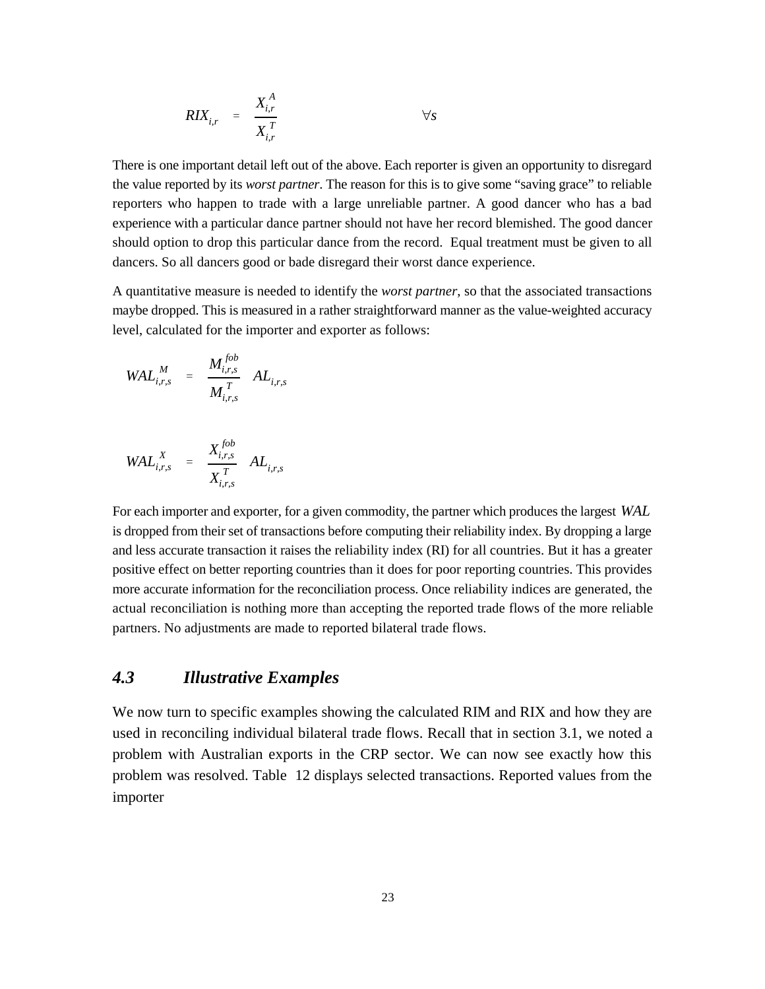$$
RIX_{i,r} = \frac{X_{i,r}^A}{X_{i,r}^T} \qquad \forall s
$$

There is one important detail left out of the above. Each reporter is given an opportunity to disregard the value reported by its *worst partner*. The reason for this is to give some "saving grace" to reliable reporters who happen to trade with a large unreliable partner. A good dancer who has a bad experience with a particular dance partner should not have her record blemished. The good dancer should option to drop this particular dance from the record. Equal treatment must be given to all dancers. So all dancers good or bade disregard their worst dance experience.

A quantitative measure is needed to identify the *worst partner*, so that the associated transactions maybe dropped. This is measured in a rather straightforward manner as the value-weighted accuracy level, calculated for the importer and exporter as follows:

$$
W\!AL_{i,r,s}^M = \frac{M_{i,r,s}^{fob}}{M_{i,r,s}^T} AL_{i,r,s}
$$

$$
W\!AL_{i,r,s}^X = \frac{X_{i,r,s}^{fob}}{X_{i,r,s}^T} AL_{i,r,s}
$$

For each importer and exporter, for a given commodity, the partner which produces the largest WAL is dropped from their set of transactions before computing their reliability index. By dropping a large and less accurate transaction it raises the reliability index (RI) for all countries. But it has a greater positive effect on better reporting countries than it does for poor reporting countries. This provides more accurate information for the reconciliation process. Once reliability indices are generated, the actual reconciliation is nothing more than accepting the reported trade flows of the more reliable partners. No adjustments are made to reported bilateral trade flows.

#### *4.3 Illustrative Examples*

We now turn to specific examples showing the calculated RIM and RIX and how they are used in reconciling individual bilateral trade flows. Recall that in section 3.1, we noted a problem with Australian exports in the CRP sector. We can now see exactly how this problem was resolved. Table 12 displays selected transactions. Reported values from the importer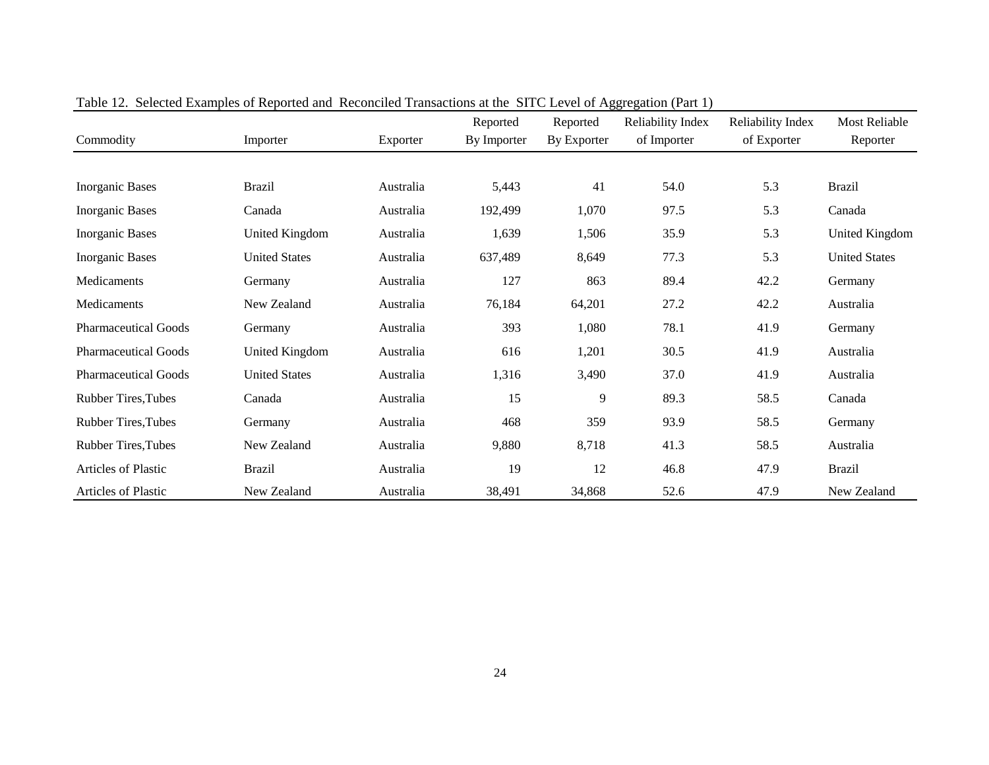| Commodity                   | Importer              | Exporter  | Reported<br>By Importer | Reported<br>By Exporter | Reliability Index<br>of Importer | <b>Reliability Index</b><br>of Exporter | <b>Most Reliable</b><br>Reporter |
|-----------------------------|-----------------------|-----------|-------------------------|-------------------------|----------------------------------|-----------------------------------------|----------------------------------|
|                             |                       |           |                         |                         |                                  |                                         |                                  |
| <b>Inorganic Bases</b>      | <b>Brazil</b>         | Australia | 5,443                   | 41                      | 54.0                             | 5.3                                     | <b>Brazil</b>                    |
| <b>Inorganic Bases</b>      | Canada                | Australia | 192,499                 | 1,070                   | 97.5                             | 5.3                                     | Canada                           |
| <b>Inorganic Bases</b>      | United Kingdom        | Australia | 1,639                   | 1,506                   | 35.9                             | 5.3                                     | United Kingdom                   |
| Inorganic Bases             | <b>United States</b>  | Australia | 637,489                 | 8,649                   | 77.3                             | 5.3                                     | <b>United States</b>             |
| Medicaments                 | Germany               | Australia | 127                     | 863                     | 89.4                             | 42.2                                    | Germany                          |
| Medicaments                 | New Zealand           | Australia | 76,184                  | 64,201                  | 27.2                             | 42.2                                    | Australia                        |
| <b>Pharmaceutical Goods</b> | Germany               | Australia | 393                     | 1,080                   | 78.1                             | 41.9                                    | Germany                          |
| <b>Pharmaceutical Goods</b> | <b>United Kingdom</b> | Australia | 616                     | 1,201                   | 30.5                             | 41.9                                    | Australia                        |
| <b>Pharmaceutical Goods</b> | <b>United States</b>  | Australia | 1,316                   | 3,490                   | 37.0                             | 41.9                                    | Australia                        |
| <b>Rubber Tires, Tubes</b>  | Canada                | Australia | 15                      | 9                       | 89.3                             | 58.5                                    | Canada                           |
| <b>Rubber Tires, Tubes</b>  | Germany               | Australia | 468                     | 359                     | 93.9                             | 58.5                                    | Germany                          |
| <b>Rubber Tires, Tubes</b>  | New Zealand           | Australia | 9,880                   | 8,718                   | 41.3                             | 58.5                                    | Australia                        |
| Articles of Plastic         | <b>Brazil</b>         | Australia | 19                      | 12                      | 46.8                             | 47.9                                    | <b>Brazil</b>                    |
| Articles of Plastic         | New Zealand           | Australia | 38,491                  | 34,868                  | 52.6                             | 47.9                                    | New Zealand                      |

Table 12. Selected Examples of Reported and Reconciled Transactions at the SITC Level of Aggregation (Part 1)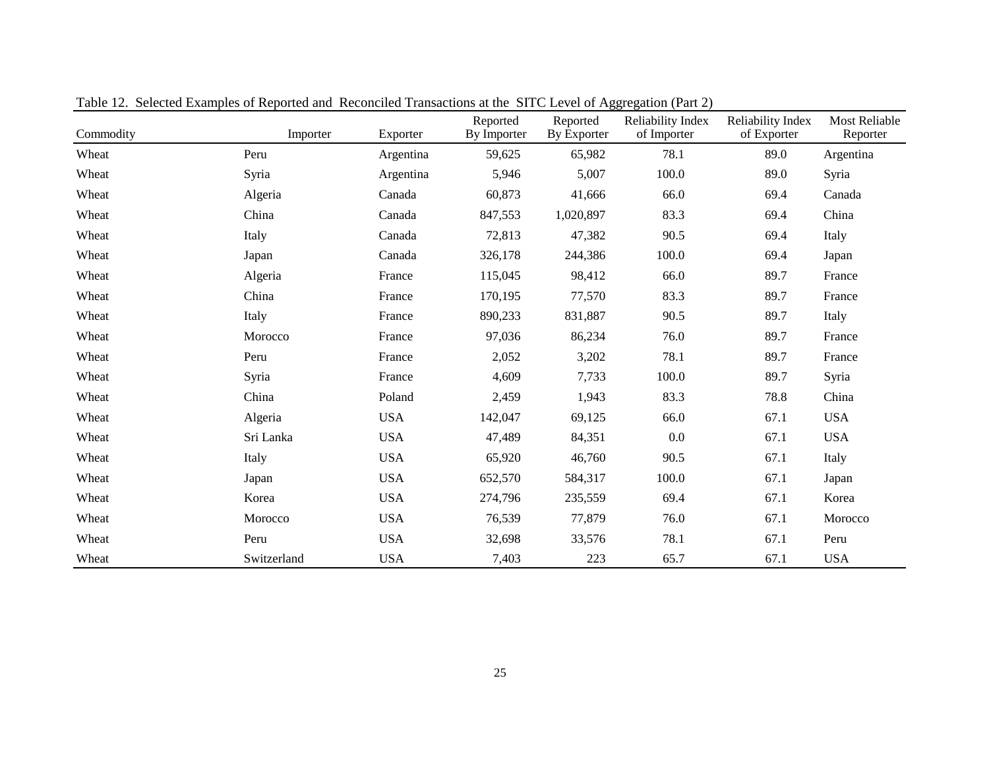| Commodity | Tube 12. Defected Daunpies of Reported and Teconometry Transactions at the DTTC Devel of Tigglegation (Furt 2)<br>Importer | Exporter   | Reported<br>By Importer | Reported<br>By Exporter | Reliability Index<br>of Importer | Reliability Index<br>of Exporter | <b>Most Reliable</b><br>Reporter |
|-----------|----------------------------------------------------------------------------------------------------------------------------|------------|-------------------------|-------------------------|----------------------------------|----------------------------------|----------------------------------|
| Wheat     | Peru                                                                                                                       | Argentina  | 59,625                  | 65,982                  | 78.1                             | 89.0                             | Argentina                        |
| Wheat     | Syria                                                                                                                      | Argentina  | 5,946                   | 5,007                   | 100.0                            | 89.0                             | Syria                            |
| Wheat     | Algeria                                                                                                                    | Canada     | 60,873                  | 41,666                  | 66.0                             | 69.4                             | Canada                           |
| Wheat     | China                                                                                                                      | Canada     | 847,553                 | 1,020,897               | 83.3                             | 69.4                             | China                            |
| Wheat     | Italy                                                                                                                      | Canada     | 72,813                  | 47,382                  | 90.5                             | 69.4                             | Italy                            |
| Wheat     | Japan                                                                                                                      | Canada     | 326,178                 | 244,386                 | 100.0                            | 69.4                             | Japan                            |
| Wheat     | Algeria                                                                                                                    | France     | 115,045                 | 98,412                  | 66.0                             | 89.7                             | France                           |
| Wheat     | China                                                                                                                      | France     | 170,195                 | 77,570                  | 83.3                             | 89.7                             | France                           |
| Wheat     | Italy                                                                                                                      | France     | 890,233                 | 831,887                 | 90.5                             | 89.7                             | Italy                            |
| Wheat     | Morocco                                                                                                                    | France     | 97,036                  | 86,234                  | 76.0                             | 89.7                             | France                           |
| Wheat     | Peru                                                                                                                       | France     | 2,052                   | 3,202                   | 78.1                             | 89.7                             | France                           |
| Wheat     | Syria                                                                                                                      | France     | 4,609                   | 7,733                   | 100.0                            | 89.7                             | Syria                            |
| Wheat     | China                                                                                                                      | Poland     | 2,459                   | 1,943                   | 83.3                             | 78.8                             | China                            |
| Wheat     | Algeria                                                                                                                    | <b>USA</b> | 142,047                 | 69,125                  | 66.0                             | 67.1                             | <b>USA</b>                       |
| Wheat     | Sri Lanka                                                                                                                  | <b>USA</b> | 47,489                  | 84,351                  | $0.0\,$                          | 67.1                             | <b>USA</b>                       |
| Wheat     | Italy                                                                                                                      | <b>USA</b> | 65,920                  | 46,760                  | 90.5                             | 67.1                             | Italy                            |
| Wheat     | Japan                                                                                                                      | <b>USA</b> | 652,570                 | 584,317                 | 100.0                            | 67.1                             | Japan                            |
| Wheat     | Korea                                                                                                                      | <b>USA</b> | 274,796                 | 235,559                 | 69.4                             | 67.1                             | Korea                            |
| Wheat     | Morocco                                                                                                                    | <b>USA</b> | 76,539                  | 77,879                  | 76.0                             | 67.1                             | Morocco                          |
| Wheat     | Peru                                                                                                                       | <b>USA</b> | 32,698                  | 33,576                  | 78.1                             | 67.1                             | Peru                             |
| Wheat     | Switzerland                                                                                                                | <b>USA</b> | 7,403                   | 223                     | 65.7                             | 67.1                             | <b>USA</b>                       |

Table 12. Selected Examples of Reported and Reconciled Transactions at the SITC Level of Aggregation (Part 2)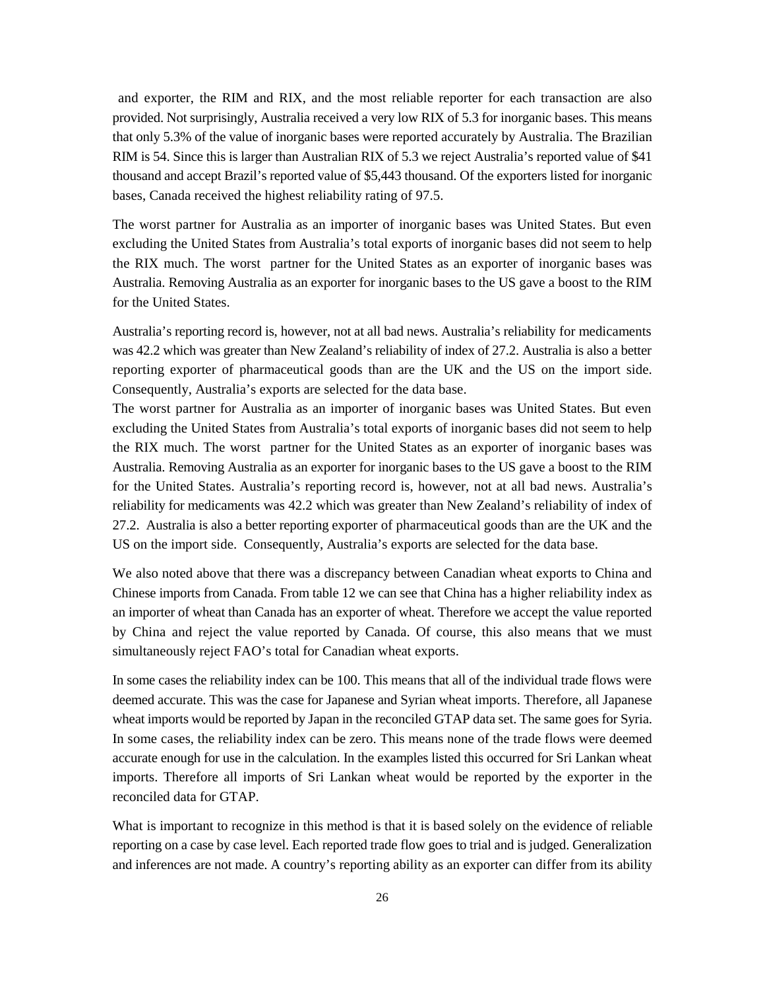and exporter, the RIM and RIX, and the most reliable reporter for each transaction are also provided. Not surprisingly, Australia received a very low RIX of 5.3 for inorganic bases. This means that only 5.3% of the value of inorganic bases were reported accurately by Australia. The Brazilian RIM is 54. Since this is larger than Australian RIX of 5.3 we reject Australia's reported value of \$41 thousand and accept Brazil's reported value of \$5,443 thousand. Of the exporters listed for inorganic bases, Canada received the highest reliability rating of 97.5.

The worst partner for Australia as an importer of inorganic bases was United States. But even excluding the United States from Australia's total exports of inorganic bases did not seem to help the RIX much. The worst partner for the United States as an exporter of inorganic bases was Australia. Removing Australia as an exporter for inorganic bases to the US gave a boost to the RIM for the United States.

Australia's reporting record is, however, not at all bad news. Australia's reliability for medicaments was 42.2 which was greater than New Zealand's reliability of index of 27.2. Australia is also a better reporting exporter of pharmaceutical goods than are the UK and the US on the import side. Consequently, Australia's exports are selected for the data base.

The worst partner for Australia as an importer of inorganic bases was United States. But even excluding the United States from Australia's total exports of inorganic bases did not seem to help the RIX much. The worst partner for the United States as an exporter of inorganic bases was Australia. Removing Australia as an exporter for inorganic bases to the US gave a boost to the RIM for the United States. Australia's reporting record is, however, not at all bad news. Australia's reliability for medicaments was 42.2 which was greater than New Zealand's reliability of index of 27.2. Australia is also a better reporting exporter of pharmaceutical goods than are the UK and the US on the import side. Consequently, Australia's exports are selected for the data base.

We also noted above that there was a discrepancy between Canadian wheat exports to China and Chinese imports from Canada. From table 12 we can see that China has a higher reliability index as an importer of wheat than Canada has an exporter of wheat. Therefore we accept the value reported by China and reject the value reported by Canada. Of course, this also means that we must simultaneously reject FAO's total for Canadian wheat exports.

In some cases the reliability index can be 100. This means that all of the individual trade flows were deemed accurate. This was the case for Japanese and Syrian wheat imports. Therefore, all Japanese wheat imports would be reported by Japan in the reconciled GTAP data set. The same goes for Syria. In some cases, the reliability index can be zero. This means none of the trade flows were deemed accurate enough for use in the calculation. In the examples listed this occurred for Sri Lankan wheat imports. Therefore all imports of Sri Lankan wheat would be reported by the exporter in the reconciled data for GTAP.

What is important to recognize in this method is that it is based solely on the evidence of reliable reporting on a case by case level. Each reported trade flow goes to trial and is judged. Generalization and inferences are not made. A country's reporting ability as an exporter can differ from its ability